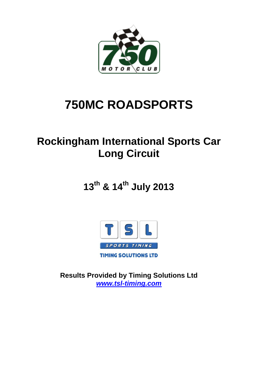

# **750MC ROADSPORTS**

# **Rockingham International Sports Car Long Circuit**

**13th & 14th July 2013**



**Results Provided by Timing Solutions Ltd** *www.tsl-timing.com*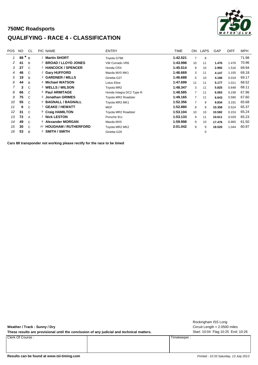### **750MC Roadsports QUALIFYING - RACE 4 - CLASSIFICATION**



| <b>POS</b> | NO. | <sub>CL</sub>  | <b>PIC NAME</b>                  | <b>ENTRY</b>             | TIME     | ON             | LAPS | <b>GAP</b> | <b>DIFF</b> | <b>MPH</b> |
|------------|-----|----------------|----------------------------------|--------------------------|----------|----------------|------|------------|-------------|------------|
|            | 88  | B <sub>1</sub> | <b>Martin SHORT</b>              | Toyota GT86              | 1:42.521 | 7              | 8    |            |             | 71.98      |
| 2          | 41  | B              | <sup>2</sup> BROAD / LLOYD JONES | VW Corrado VR6           | 1:43.998 | 10             | 11   | 1.476      | 1.476       | 70.96      |
| 3          | 27  | $\mathcal{C}$  | <b>HANCOCK / SPENCER</b>         | Honda CRX                | 1:45.514 | 9              | 10   | 2.992      | 1.516       | 69.94      |
| 4          | 46  | C              | <sup>2</sup> Gary HUFFORD        | Mazda MX5 MK1            | 1:46.669 | 3              | 11   | 4.147      | 1.155       | 69.18      |
| 5          | 19  | B              | <b>3 GARDNER / MILLS</b>         | Ginetta G27              | 1:46.688 | 5              | 10   | 4.166      | 0.019       | 69.17      |
| 6          | 44  | B              | 4 Michael WATSON                 | Lotus Elise              | 1:47.699 | 11             | 11   | 5.177      | 1.011       | 68.52      |
| 7          | 3   | $\mathcal{C}$  | 3 WELLS / WILSON                 | Toyota MR2               | 1:48.347 | 3              | 11   | 5.825      | 0.648       | 68.11      |
| 8          | 66  | C.             | 4 Paul ARMITAGE                  | Honda Integra DC2 Type R | 1:48.585 | 7              | 11   | 6.063      | 0.238       | 67.96      |
| 9          | 75  | $\mathcal{C}$  | 5 Jonathan GRIMES                | Toyota MR2 Roadster      | 1:49.165 | $\overline{7}$ | 11   | 6.643      | 0.580       | 67.60      |
| 10         | 55  | $\mathcal{C}$  | 6 BAGNALL / BAGNALL              | Toyota MR2 MK1           | 1:52.356 | $\overline{7}$ | 9    | 9.834      | 3.191       | 65.68      |
| 11         | 6   | $\mathcal{C}$  | 7 GEAKE / HEWATT                 | <b>MGF</b>               | 1:52.880 | 8              | 9    | 10.358     | 0.524       | 65.37      |
| 12         | 31  | C.             | 8 Craig HAMILTON                 | Toyota MR2 Roadster      | 1:53.104 | 10             | 10   | 10.582     | 0.224       | 65.24      |
| 13         | 72  | A              | <b>Nick LESTON</b>               | Porsche 911              | 1:53.133 | 9              | 11   | 10.611     | 0.029       | 65.23      |
| 14         | 49  | $\mathcal{C}$  | 9 Alexander MORGAN               | Mazda MX5                | 1:59.998 | 9              | 10   | 17.476     | 6.865       | 61.50      |
| 15         | 30  | $\mathcal{C}$  | 10 HOUGHAM / RUTHERFORD          | Toyota MR2 MK2           | 2:01.042 | 9              | 9    | 18.520     | 1.044       | 60.97      |
| 16         | 53  | B              | $5$ SMITH / SMITH                | Ginetta G20              |          |                | 0    |            |             |            |

**Cars 88 transponder not working please rectify for the race to be timed**

**Weather / Track : Sunny / Dry**

These results are provisional until the conclusion of any judicial and technical matters. Start: 10:04 Flag 10:25 End: 10:26

Clerk Of Course : Timekeeper :

Circuit Length = 2.0500 miles Rockingham ISS Long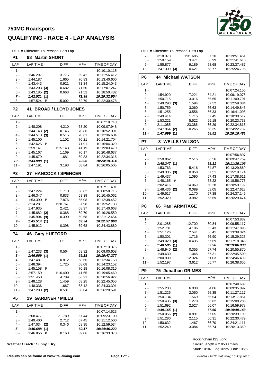### **750MC Roadsports QUALIFYING - RACE 4 - LAP ANALYSIS**

DIFF = Difference To Personal Best Lap

| P1             | <b>Martin SHORT</b><br>88        |                            |                |                              |  |  |  |
|----------------|----------------------------------|----------------------------|----------------|------------------------------|--|--|--|
| LAP            | <b>LAP TIME</b>                  | <b>DIFF</b>                | <b>MPH</b>     | TIME OF DAY                  |  |  |  |
| $1 -$          |                                  |                            |                | 10:10:10.115                 |  |  |  |
| 2 -            | 1:46.297                         | 3.775                      | 69.42          | 10:11:56.412                 |  |  |  |
| 3 -            | 1:44.187                         | 1.665                      | 70.83          | 10:13:40.600                 |  |  |  |
| $4 -$          | 1:43.443                         | 0.921                      | 71.34          | 10:15:24.043                 |  |  |  |
| 5 -            | $1:43.203$ (3)                   | 0.682                      | 71.50          | 10:17:07.247                 |  |  |  |
| $6 -$<br>$7 -$ | 1:43.185<br>(2)                  | 0.663                      | 71.52          | 10:18:50.432                 |  |  |  |
| 8 -            | 1:42.521(1)<br>1:57.524 <b>P</b> | 15.002                     | 71.98<br>62.79 | 10:20:32.954<br>10:22:30.478 |  |  |  |
|                |                                  |                            |                |                              |  |  |  |
| P <sub>2</sub> | 41                               | <b>BROAD / LLOYD JONES</b> |                |                              |  |  |  |
| LAP            | <b>LAP TIME</b>                  | <b>DIFF</b>                | <b>MPH</b>     | TIME OF DAY                  |  |  |  |
| $1 -$          |                                  |                            |                | 10:07:19.740                 |  |  |  |
| 2 -<br>3 -     | 1:48.208<br>$1:44.143$ (2)       | 4.210<br>0.145             | 68.20<br>70.86 | 10:09:07.948<br>10:10:52.091 |  |  |  |
| 4 -            | 1:44.513<br>(3)                  | 0.515                      | 70.61          | 10:12:36.604                 |  |  |  |
| 5 -            | 1:45.100                         | 1.102                      | 70.21          | 10:14:21.704                 |  |  |  |
| 6 -            | 1:42.625<br>Р                    |                            | 71.91          | 10:16:04.329                 |  |  |  |
| $7 -$          | 2:59.141                         | 1:15.143                   | 41.19          | 10:19:03.470                 |  |  |  |
| 8 -            | 1:45.167                         | 1.169                      | 70.17          | 10:20:48.637                 |  |  |  |
| 9 -            | 1:45.679                         | 1.681                      | 69.83          | 10:22:34.316                 |  |  |  |
| 10 -           | 1:43.998(1)                      |                            | 70.96          | 10:24:18.314                 |  |  |  |
| $11 -$         | 1:47.191                         | 3.193                      | 68.84          | 10:26:05.505                 |  |  |  |
| P <sub>3</sub> | 27                               | <b>HANCOCK / SPENCER</b>   |                |                              |  |  |  |
| LAP            | <b>LAP TIME</b>                  | <b>DIFF</b>                | <b>MPH</b>     | <b>TIME OF DAY</b>           |  |  |  |
| $1 -$          |                                  |                            |                | 10:07:11.491                 |  |  |  |
| 2 -            | 1:47.224                         | 1.710                      | 68.82          | 10:08:58.715                 |  |  |  |
| 3 -            | 1:46.347                         | 0.833                      | 69.39          | 10:10:45.062                 |  |  |  |
| $4 -$          | 1:53.390<br>Р                    | 7.876                      | 65.08          | 10:12:38.452                 |  |  |  |
| 5 -<br>6 -     | 3:14.281<br>1:47.935             | 1:28.767<br>2.421          | 37.98<br>68.37 | 10:15:52.733<br>10:17:40.668 |  |  |  |
| 7 -            | 1:45.882 (2)                     | 0.368                      | 69.70          | 10:19:26.550                 |  |  |  |
| 8 -            | $1:45.904$ (3)                   | 0.390                      | 69.68          | 10:21:12.454                 |  |  |  |
| 9 -            | 1:45.514(1)                      |                            | 69.94          | 10:22:57.968                 |  |  |  |
| 10 -           | 1:45.912                         | 0.398                      | 69.68          | 10:24:43.880                 |  |  |  |
| P4             | 46<br><b>Gary HUFFORD</b>        |                            |                |                              |  |  |  |
| LAP            | <b>LAP TIME</b>                  | <b>DIFF</b>                | <b>MPH</b>     | TIME OF DAY                  |  |  |  |
| 1 -            |                                  |                            |                | 10:07:13.375                 |  |  |  |
| 2 -            | 1:47.233(3)                      | 0.564                      | 68.82          | 10:09:00.608                 |  |  |  |
| 3 -            | 1:46.669(1)                      |                            | 69.18          | 10:10:47.277                 |  |  |  |
| $4 -$          | 1:47.481                         | 0.812                      | 68.66          | 10:12:34.758                 |  |  |  |
| 5 -            | 1:48.394                         | 1.725                      | 68.08          | 10:14:23.152                 |  |  |  |
| 6 -            | 1:45.158<br>Р                    |                            | 70.18          | 10:16:08.310                 |  |  |  |
| 7 -            | 2:57.159                         | 1:10.490                   | 41.65          | 10:19:05.469                 |  |  |  |
| 8 -<br>9 -     | 1:51.458                         | 4.789                      | 66.21          | 10:20:56.927<br>10:22:45.055 |  |  |  |
| 10 -           | 1:48.128<br>1:48.336             | 1.459<br>1.667             | 68.25<br>68.12 | 10:24:33.391                 |  |  |  |
| 11 -           | $1:47.200$ (2)                   | 0.531                      | 68.84          | 10:26:20.591                 |  |  |  |
| P5             | 19                               | <b>GARDNER / MILLS</b>     |                |                              |  |  |  |
| LAP            | <b>LAP TIME</b>                  | <b>DIFF</b>                | <b>MPH</b>     | TIME OF DAY                  |  |  |  |
| $1 -$          |                                  |                            |                | 10:07:14.623                 |  |  |  |
| 2 -            | 2:08.477                         | 21.789                     | 57.44          | 10:09:23.100                 |  |  |  |
| 3 -            | 1:49.400                         | 2.712                      | 67.45          | 10:11:12.500                 |  |  |  |
| 4 -            | $1:47.034$ (2)                   | 0.346                      | 68.95          | 10:12:59.534                 |  |  |  |
| 5 -            | 1:46.688(1)                      |                            | 69.17          | 10:14:46.222                 |  |  |  |
| 6 -            | 1:46.856<br>P                    | 0.168                      | 69.06          | 10:16:33.078                 |  |  |  |

**Weather / Track : Sunny / Dry**



|                | DIFF = Difference To Personal Best Lap |                        |                |                              |
|----------------|----------------------------------------|------------------------|----------------|------------------------------|
| $7 -$          | 3:18.373                               | 1:31.685               | 37.20          | 10:19:51.451                 |
| 8 -            | 1:50.159                               | 3.471                  | 66.99          | 10:21:41.610                 |
| 9 -            | 1:55.877                               | 9.189                  | 63.68          | 10:23:37.487                 |
| 10 -           | $1:47.309$ (3)                         | 0.621                  | 68.77          | 10:25:24.796                 |
| P <sub>6</sub> | <b>44 Michael WATSON</b>               |                        |                |                              |
|                |                                        |                        |                |                              |
| LAP            | <b>LAP TIME</b>                        | <b>DIFF</b>            | MPH            | TIME OF DAY                  |
| 1 -            |                                        |                        |                | 10:07:24.156                 |
| $2 -$          | 1:54.920                               | 7.221                  | 64.21          | 10:09:19.076                 |
| 3 -            | 1:50.715                               | 3.016                  | 66.65          | 10:11:09.791                 |
| $4 -$          | $1:49.293$ (3)                         | 1.594                  | 67.52          | 10:12:59.084                 |
| $5 -$          | 1:50.759                               | 3.060                  | 66.63          | 10:14:49.843                 |
| 6 -            | 1:51.255                               | 3.556                  | 66.33          | 10:16:41.098                 |
| $7 -$          | 1:49.414                               | 1.715                  | 67.45          | 10:18:30.512                 |
| 8 -            | 1:53.221                               | 5.522                  | 65.18          | 10:20:23.733                 |
| 9 -<br>$10 -$  | 2:11.085<br>$1:47.964$ (2)             | 23.386<br>0.265        | 56.29          | 10:22:34.818<br>10:24:22.782 |
| $11 -$         | 1:47.699(1)                            |                        | 68.35<br>68.52 | 10:26:10.481                 |
|                |                                        |                        |                |                              |
| P7             | <b>WELLS / WILSON</b><br>3             |                        |                |                              |
| LAP            | <b>LAP TIME</b>                        | <b>DIFF</b>            | MPH            | TIME OF DAY                  |
| 1 -            |                                        |                        |                | 10:07:56.897                 |
| 2 -            | 1:50.862                               | 2.515                  | 66.56          | 10:09:47.759                 |
| 3 -            | 1:48.347(1)                            |                        | 68.11          | 10:11:36.106                 |
| $4 -$          | 1:53.763                               | 5.416                  | 64.87          | 10:13:29.869                 |
| 5 -            | 1:49.305<br>(3)                        | 0.958                  | 67.51          | 10:15:19.174                 |
| $6 -$          | 1:49.437                               | 1.090                  | 67.43          | 10:17:08.611                 |
| $7 -$          | 1:48.165<br>Р                          |                        | 68.22          | 10:18:56.776                 |
| 8 -            | 2:02.416                               | 14.069                 | 60.28          | 10:20:59.192                 |
| 9 -            | 1:48.436 (2)                           | 0.089                  | 68.05          | 10:22:47.628                 |
| $10 -$         | 1:49.517                               | 1.170                  | 67.38          | 10:24:37.145                 |
| 11 -           | 1:52.329                               | 3.982                  | 65.69          | 10:26:29.474                 |
| P <sub>8</sub> | <b>Paul ARMITAGE</b><br>66             |                        |                |                              |
| LAP            | <b>LAP TIME</b>                        | <b>DIFF</b>            | MPH            | TIME OF DAY                  |
| $1 -$          |                                        |                        |                | 10:07:53.832                 |
| 2 -            | 2:01.285                               | 12.700                 | 60.84          | 10:09:55.117                 |
| 3 -            | 1:52.781                               | 4.196                  | 65.43          | 10:11:47.898                 |
| 4 -            | 1:51.126                               | 2.541                  | 66.41          | 10:13:39.024                 |
| 5 -            | 1:50.301                               | 1.716                  | 66.90          | 10:15:29.325                 |
| 6 -            | 1:49.020<br>(3)                        | 0.435                  | 67.69          | 10:17:18.345                 |
| $7 -$          | 1:48.585(1)                            |                        | 67.96          | 10:19:06.930                 |
| 8 -            | 1:48.940(2)                            | 0.355                  | 67.74          | 10:20:55.870                 |
| 9 -            | 1:49.630                               | 1.045                  | 67.31          | 10:22:45.500                 |
| 10 -           | 2:00.909                               | 12.324                 | 61.03          | 10:24:46.409                 |
| 11 -           | 1:52.197                               | 3.612                  | 65.77          | 10:26:38.606                 |
| P9             | 75                                     | <b>Jonathan GRIMES</b> |                |                              |
| LAP            | <b>LAP TIME</b>                        | <b>DIFF</b>            | MPH            | TIME OF DAY                  |
| 1 -            |                                        |                        |                | 10:07:40.689                 |
| 2 -            | 1:55.203                               | 6.038                  | 64.06          | 10:09:35.892                 |
| 3 -            | 1:51.225                               | 2.060                  | 66.35          | 10:11:27.117                 |
|                | 1:50.734                               | 1.569                  | 66.64          | 10:13:17.851                 |
| 4 -            |                                        |                        |                |                              |
| 5 -            |                                        | 1.270                  | 66.82          | 10:15:08.286                 |
| 6 -            | $1:50.435$ (3)<br>1:51.692             | 2.527                  | 66.07          | 10:16:59.978                 |
| 7 -            | 1:49.165(1)                            |                        | 67.60          | 10:18:49.143                 |
| 8 -            | 1:50.056 (2)                           | 0.891                  | 67.05          | 10:20:39.199                 |
| 9 -            | 1:51.280                               | 2.115                  | 66.31          | 10:22:30.479                 |

Start: 10:04 Flag 10:25 End: 10:26 Circuit Length = 2.0500 miles Rockingham ISS Long

11 - 1:52.249 3.084 10:26:13.360 65.74

66.70 10:24:21.111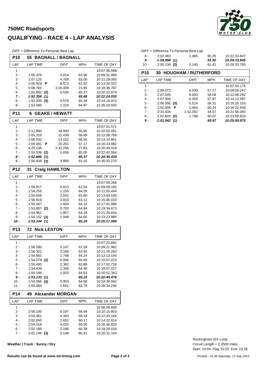### **750MC Roadsports QUALIFYING - RACE 4 - LAP ANALYSIS**

DIFF = Difference To Personal Best Lap

| <b>LAP TIME</b><br><b>MPH</b><br>LAP<br><b>DIFF</b><br>TIME OF DAY<br>$1 -$<br>10:07:36.598<br>2 -<br>1:55.370<br>3.014<br>63.96<br>10:09:31.968<br>3 -<br>10:11:29.093<br>1:57.125<br>4.769<br>63.00<br>4 -<br>10:13:30.022<br>2:00.929<br>8.573<br>61.02<br>P<br>5 -<br>3:16.409<br>5:08.765<br>23.90<br>10:18:38.787<br>6 -<br>1:52.892 (2)<br>0.536<br>65.37<br>10:20:31.679<br>7 -<br>1:52.356(1)<br>10:22:24.035<br>65.68<br>8 -<br>$1:52.935$ (3)<br>0.579<br>65.34<br>10:24:16.970<br>1:53.580<br>9 -<br>1.224<br>64.97<br>10:26:10.550<br><b>P11</b><br><b>GEAKE / HEWATT</b><br>6<br><b>MPH</b><br>LAP<br><b>LAP TIME</b><br><b>DIFF</b><br>TIME OF DAY<br>$1 -$<br>10:07:51.571<br>2 -<br>2:11.880<br>19.000<br>55.95<br>10:10:03.451<br>3 -<br>2:05.318<br>12.438<br>58.89<br>10:12:08.769<br>4 -<br>13.152<br>2:06.032<br>58.55<br>10:14:14.801<br>5 -<br>10:16:23.882<br>2:09.081<br>P<br>16.201<br>57.17<br>6 -<br>4:25.136<br>2:32.256<br>27.83<br>10:20:49.018<br>7 -<br>1:53.536 (2)<br>0.656<br>65.00<br>10:22:42.554<br>10:24:35.434<br>8 -<br>1:52.880(1)<br>65.37<br>9 -<br>63.16<br>$1:56.836$ (3)<br>3.956<br>10:26:32.270<br><b>P12</b><br>31<br><b>Craig HAMILTON</b><br>LAP<br><b>LAP TIME</b><br><b>DIFF</b><br>MPH<br><b>TIME OF DAY</b><br>$1 -$<br>10:07:59.268<br>2 -<br>1:59.917<br>6.813<br>61.54<br>10:09:59.185<br>3 -<br>1:54.259<br>1.155<br>64.59<br>10:11:53.444<br>4 -<br>1:55.656<br>2.552<br>63.80<br>10:13:49.100<br>5 -<br>1:56.919<br>3.815<br>63.12<br>10:15:46.019<br>6 -<br>1:55.047<br>1.943<br>64.14<br>10:17:41.066<br>7 -<br>1:53.807 (2)<br>0.703<br>64.84<br>10:19:34.873<br>8 -<br>1:54.961<br>1.857<br>64.19<br>10:21:29.834<br>$1:54.152$ (3)<br>10:23:23.986<br>9 -<br>1.048<br>64.65<br>10 -<br>1:53.104(1)<br>65.24<br>10:25:17.090<br><b>Nick LESTON</b><br><b>P13</b><br>72.<br>LAP<br><b>LAP TIME</b><br><b>DIFF</b><br><b>MPH</b><br>TIME OF DAY<br>$1 -$<br>10:07:23.682<br>62.39<br>2 -<br>1:58.280<br>5.147<br>10:09:21.962<br>10:11:18.263<br>3 -<br>1:56.301<br>3.168<br>63.45<br>4 -<br>1:54.881<br>1.748<br>64.24<br>10:13:13.144<br>5 -<br>1:54.079 (2)<br>64.69<br>10:15:07.223<br>0.946<br>6 -<br>1:55.495<br>2.362<br>63.89<br>10:17:02.718<br>7 -<br>1.306<br>10:18:57.157<br>1:54.439<br>64.48<br>8 -<br>1:54.186<br>1.053<br>64.63<br>10:20:51.343<br>9 -<br>1:53.133(1)<br>65.23<br>10:22:44.476<br>10 -<br>$1:54.086$ (3)<br>64.68<br>10:24:38.562<br>0.953<br>11 -<br>1:55.684<br>2.551<br>63.79<br>10:26:34.246<br><b>Alexander MORGAN</b><br><b>P14</b><br>49<br><b>LAP TIME</b><br><b>DIFF</b><br>TIME OF DAY<br>LAP<br>MPH<br>$1 -$<br>10:08:09.608<br>2 -<br>6.197<br>58.48<br>10:10:15.803<br>2:06.195<br>$3 -$<br>2:04.361<br>59.34<br>10:12:20.164<br>4.363<br>$4 -$<br>2:02.650<br>2.652<br>60.17<br>10:14:22.814 | <b>P10</b> | 55       | <b>BAGNALL / BAGNALL</b> |       |              |
|--------------------------------------------------------------------------------------------------------------------------------------------------------------------------------------------------------------------------------------------------------------------------------------------------------------------------------------------------------------------------------------------------------------------------------------------------------------------------------------------------------------------------------------------------------------------------------------------------------------------------------------------------------------------------------------------------------------------------------------------------------------------------------------------------------------------------------------------------------------------------------------------------------------------------------------------------------------------------------------------------------------------------------------------------------------------------------------------------------------------------------------------------------------------------------------------------------------------------------------------------------------------------------------------------------------------------------------------------------------------------------------------------------------------------------------------------------------------------------------------------------------------------------------------------------------------------------------------------------------------------------------------------------------------------------------------------------------------------------------------------------------------------------------------------------------------------------------------------------------------------------------------------------------------------------------------------------------------------------------------------------------------------------------------------------------------------------------------------------------------------------------------------------------------------------------------------------------------------------------------------------------------------------------------------------------------------------------------------------------------------------------------------------------------------------------------------------------------------------------------------------------------------------------------------------------------------------------------------------------------------------------------------------------------------------------------------------------------------------------------------------------------------------------------------------------|------------|----------|--------------------------|-------|--------------|
|                                                                                                                                                                                                                                                                                                                                                                                                                                                                                                                                                                                                                                                                                                                                                                                                                                                                                                                                                                                                                                                                                                                                                                                                                                                                                                                                                                                                                                                                                                                                                                                                                                                                                                                                                                                                                                                                                                                                                                                                                                                                                                                                                                                                                                                                                                                                                                                                                                                                                                                                                                                                                                                                                                                                                                                                              |            |          |                          |       |              |
|                                                                                                                                                                                                                                                                                                                                                                                                                                                                                                                                                                                                                                                                                                                                                                                                                                                                                                                                                                                                                                                                                                                                                                                                                                                                                                                                                                                                                                                                                                                                                                                                                                                                                                                                                                                                                                                                                                                                                                                                                                                                                                                                                                                                                                                                                                                                                                                                                                                                                                                                                                                                                                                                                                                                                                                                              |            |          |                          |       |              |
|                                                                                                                                                                                                                                                                                                                                                                                                                                                                                                                                                                                                                                                                                                                                                                                                                                                                                                                                                                                                                                                                                                                                                                                                                                                                                                                                                                                                                                                                                                                                                                                                                                                                                                                                                                                                                                                                                                                                                                                                                                                                                                                                                                                                                                                                                                                                                                                                                                                                                                                                                                                                                                                                                                                                                                                                              |            |          |                          |       |              |
|                                                                                                                                                                                                                                                                                                                                                                                                                                                                                                                                                                                                                                                                                                                                                                                                                                                                                                                                                                                                                                                                                                                                                                                                                                                                                                                                                                                                                                                                                                                                                                                                                                                                                                                                                                                                                                                                                                                                                                                                                                                                                                                                                                                                                                                                                                                                                                                                                                                                                                                                                                                                                                                                                                                                                                                                              |            |          |                          |       |              |
|                                                                                                                                                                                                                                                                                                                                                                                                                                                                                                                                                                                                                                                                                                                                                                                                                                                                                                                                                                                                                                                                                                                                                                                                                                                                                                                                                                                                                                                                                                                                                                                                                                                                                                                                                                                                                                                                                                                                                                                                                                                                                                                                                                                                                                                                                                                                                                                                                                                                                                                                                                                                                                                                                                                                                                                                              |            |          |                          |       |              |
|                                                                                                                                                                                                                                                                                                                                                                                                                                                                                                                                                                                                                                                                                                                                                                                                                                                                                                                                                                                                                                                                                                                                                                                                                                                                                                                                                                                                                                                                                                                                                                                                                                                                                                                                                                                                                                                                                                                                                                                                                                                                                                                                                                                                                                                                                                                                                                                                                                                                                                                                                                                                                                                                                                                                                                                                              |            |          |                          |       |              |
|                                                                                                                                                                                                                                                                                                                                                                                                                                                                                                                                                                                                                                                                                                                                                                                                                                                                                                                                                                                                                                                                                                                                                                                                                                                                                                                                                                                                                                                                                                                                                                                                                                                                                                                                                                                                                                                                                                                                                                                                                                                                                                                                                                                                                                                                                                                                                                                                                                                                                                                                                                                                                                                                                                                                                                                                              |            |          |                          |       |              |
|                                                                                                                                                                                                                                                                                                                                                                                                                                                                                                                                                                                                                                                                                                                                                                                                                                                                                                                                                                                                                                                                                                                                                                                                                                                                                                                                                                                                                                                                                                                                                                                                                                                                                                                                                                                                                                                                                                                                                                                                                                                                                                                                                                                                                                                                                                                                                                                                                                                                                                                                                                                                                                                                                                                                                                                                              |            |          |                          |       |              |
|                                                                                                                                                                                                                                                                                                                                                                                                                                                                                                                                                                                                                                                                                                                                                                                                                                                                                                                                                                                                                                                                                                                                                                                                                                                                                                                                                                                                                                                                                                                                                                                                                                                                                                                                                                                                                                                                                                                                                                                                                                                                                                                                                                                                                                                                                                                                                                                                                                                                                                                                                                                                                                                                                                                                                                                                              |            |          |                          |       |              |
|                                                                                                                                                                                                                                                                                                                                                                                                                                                                                                                                                                                                                                                                                                                                                                                                                                                                                                                                                                                                                                                                                                                                                                                                                                                                                                                                                                                                                                                                                                                                                                                                                                                                                                                                                                                                                                                                                                                                                                                                                                                                                                                                                                                                                                                                                                                                                                                                                                                                                                                                                                                                                                                                                                                                                                                                              |            |          |                          |       |              |
|                                                                                                                                                                                                                                                                                                                                                                                                                                                                                                                                                                                                                                                                                                                                                                                                                                                                                                                                                                                                                                                                                                                                                                                                                                                                                                                                                                                                                                                                                                                                                                                                                                                                                                                                                                                                                                                                                                                                                                                                                                                                                                                                                                                                                                                                                                                                                                                                                                                                                                                                                                                                                                                                                                                                                                                                              |            |          |                          |       |              |
|                                                                                                                                                                                                                                                                                                                                                                                                                                                                                                                                                                                                                                                                                                                                                                                                                                                                                                                                                                                                                                                                                                                                                                                                                                                                                                                                                                                                                                                                                                                                                                                                                                                                                                                                                                                                                                                                                                                                                                                                                                                                                                                                                                                                                                                                                                                                                                                                                                                                                                                                                                                                                                                                                                                                                                                                              |            |          |                          |       |              |
|                                                                                                                                                                                                                                                                                                                                                                                                                                                                                                                                                                                                                                                                                                                                                                                                                                                                                                                                                                                                                                                                                                                                                                                                                                                                                                                                                                                                                                                                                                                                                                                                                                                                                                                                                                                                                                                                                                                                                                                                                                                                                                                                                                                                                                                                                                                                                                                                                                                                                                                                                                                                                                                                                                                                                                                                              |            |          |                          |       |              |
|                                                                                                                                                                                                                                                                                                                                                                                                                                                                                                                                                                                                                                                                                                                                                                                                                                                                                                                                                                                                                                                                                                                                                                                                                                                                                                                                                                                                                                                                                                                                                                                                                                                                                                                                                                                                                                                                                                                                                                                                                                                                                                                                                                                                                                                                                                                                                                                                                                                                                                                                                                                                                                                                                                                                                                                                              |            |          |                          |       |              |
|                                                                                                                                                                                                                                                                                                                                                                                                                                                                                                                                                                                                                                                                                                                                                                                                                                                                                                                                                                                                                                                                                                                                                                                                                                                                                                                                                                                                                                                                                                                                                                                                                                                                                                                                                                                                                                                                                                                                                                                                                                                                                                                                                                                                                                                                                                                                                                                                                                                                                                                                                                                                                                                                                                                                                                                                              |            |          |                          |       |              |
|                                                                                                                                                                                                                                                                                                                                                                                                                                                                                                                                                                                                                                                                                                                                                                                                                                                                                                                                                                                                                                                                                                                                                                                                                                                                                                                                                                                                                                                                                                                                                                                                                                                                                                                                                                                                                                                                                                                                                                                                                                                                                                                                                                                                                                                                                                                                                                                                                                                                                                                                                                                                                                                                                                                                                                                                              |            |          |                          |       |              |
|                                                                                                                                                                                                                                                                                                                                                                                                                                                                                                                                                                                                                                                                                                                                                                                                                                                                                                                                                                                                                                                                                                                                                                                                                                                                                                                                                                                                                                                                                                                                                                                                                                                                                                                                                                                                                                                                                                                                                                                                                                                                                                                                                                                                                                                                                                                                                                                                                                                                                                                                                                                                                                                                                                                                                                                                              |            |          |                          |       |              |
|                                                                                                                                                                                                                                                                                                                                                                                                                                                                                                                                                                                                                                                                                                                                                                                                                                                                                                                                                                                                                                                                                                                                                                                                                                                                                                                                                                                                                                                                                                                                                                                                                                                                                                                                                                                                                                                                                                                                                                                                                                                                                                                                                                                                                                                                                                                                                                                                                                                                                                                                                                                                                                                                                                                                                                                                              |            |          |                          |       |              |
|                                                                                                                                                                                                                                                                                                                                                                                                                                                                                                                                                                                                                                                                                                                                                                                                                                                                                                                                                                                                                                                                                                                                                                                                                                                                                                                                                                                                                                                                                                                                                                                                                                                                                                                                                                                                                                                                                                                                                                                                                                                                                                                                                                                                                                                                                                                                                                                                                                                                                                                                                                                                                                                                                                                                                                                                              |            |          |                          |       |              |
|                                                                                                                                                                                                                                                                                                                                                                                                                                                                                                                                                                                                                                                                                                                                                                                                                                                                                                                                                                                                                                                                                                                                                                                                                                                                                                                                                                                                                                                                                                                                                                                                                                                                                                                                                                                                                                                                                                                                                                                                                                                                                                                                                                                                                                                                                                                                                                                                                                                                                                                                                                                                                                                                                                                                                                                                              |            |          |                          |       |              |
|                                                                                                                                                                                                                                                                                                                                                                                                                                                                                                                                                                                                                                                                                                                                                                                                                                                                                                                                                                                                                                                                                                                                                                                                                                                                                                                                                                                                                                                                                                                                                                                                                                                                                                                                                                                                                                                                                                                                                                                                                                                                                                                                                                                                                                                                                                                                                                                                                                                                                                                                                                                                                                                                                                                                                                                                              |            |          |                          |       |              |
|                                                                                                                                                                                                                                                                                                                                                                                                                                                                                                                                                                                                                                                                                                                                                                                                                                                                                                                                                                                                                                                                                                                                                                                                                                                                                                                                                                                                                                                                                                                                                                                                                                                                                                                                                                                                                                                                                                                                                                                                                                                                                                                                                                                                                                                                                                                                                                                                                                                                                                                                                                                                                                                                                                                                                                                                              |            |          |                          |       |              |
|                                                                                                                                                                                                                                                                                                                                                                                                                                                                                                                                                                                                                                                                                                                                                                                                                                                                                                                                                                                                                                                                                                                                                                                                                                                                                                                                                                                                                                                                                                                                                                                                                                                                                                                                                                                                                                                                                                                                                                                                                                                                                                                                                                                                                                                                                                                                                                                                                                                                                                                                                                                                                                                                                                                                                                                                              |            |          |                          |       |              |
|                                                                                                                                                                                                                                                                                                                                                                                                                                                                                                                                                                                                                                                                                                                                                                                                                                                                                                                                                                                                                                                                                                                                                                                                                                                                                                                                                                                                                                                                                                                                                                                                                                                                                                                                                                                                                                                                                                                                                                                                                                                                                                                                                                                                                                                                                                                                                                                                                                                                                                                                                                                                                                                                                                                                                                                                              |            |          |                          |       |              |
|                                                                                                                                                                                                                                                                                                                                                                                                                                                                                                                                                                                                                                                                                                                                                                                                                                                                                                                                                                                                                                                                                                                                                                                                                                                                                                                                                                                                                                                                                                                                                                                                                                                                                                                                                                                                                                                                                                                                                                                                                                                                                                                                                                                                                                                                                                                                                                                                                                                                                                                                                                                                                                                                                                                                                                                                              |            |          |                          |       |              |
|                                                                                                                                                                                                                                                                                                                                                                                                                                                                                                                                                                                                                                                                                                                                                                                                                                                                                                                                                                                                                                                                                                                                                                                                                                                                                                                                                                                                                                                                                                                                                                                                                                                                                                                                                                                                                                                                                                                                                                                                                                                                                                                                                                                                                                                                                                                                                                                                                                                                                                                                                                                                                                                                                                                                                                                                              |            |          |                          |       |              |
|                                                                                                                                                                                                                                                                                                                                                                                                                                                                                                                                                                                                                                                                                                                                                                                                                                                                                                                                                                                                                                                                                                                                                                                                                                                                                                                                                                                                                                                                                                                                                                                                                                                                                                                                                                                                                                                                                                                                                                                                                                                                                                                                                                                                                                                                                                                                                                                                                                                                                                                                                                                                                                                                                                                                                                                                              |            |          |                          |       |              |
|                                                                                                                                                                                                                                                                                                                                                                                                                                                                                                                                                                                                                                                                                                                                                                                                                                                                                                                                                                                                                                                                                                                                                                                                                                                                                                                                                                                                                                                                                                                                                                                                                                                                                                                                                                                                                                                                                                                                                                                                                                                                                                                                                                                                                                                                                                                                                                                                                                                                                                                                                                                                                                                                                                                                                                                                              |            |          |                          |       |              |
|                                                                                                                                                                                                                                                                                                                                                                                                                                                                                                                                                                                                                                                                                                                                                                                                                                                                                                                                                                                                                                                                                                                                                                                                                                                                                                                                                                                                                                                                                                                                                                                                                                                                                                                                                                                                                                                                                                                                                                                                                                                                                                                                                                                                                                                                                                                                                                                                                                                                                                                                                                                                                                                                                                                                                                                                              |            |          |                          |       |              |
|                                                                                                                                                                                                                                                                                                                                                                                                                                                                                                                                                                                                                                                                                                                                                                                                                                                                                                                                                                                                                                                                                                                                                                                                                                                                                                                                                                                                                                                                                                                                                                                                                                                                                                                                                                                                                                                                                                                                                                                                                                                                                                                                                                                                                                                                                                                                                                                                                                                                                                                                                                                                                                                                                                                                                                                                              |            |          |                          |       |              |
|                                                                                                                                                                                                                                                                                                                                                                                                                                                                                                                                                                                                                                                                                                                                                                                                                                                                                                                                                                                                                                                                                                                                                                                                                                                                                                                                                                                                                                                                                                                                                                                                                                                                                                                                                                                                                                                                                                                                                                                                                                                                                                                                                                                                                                                                                                                                                                                                                                                                                                                                                                                                                                                                                                                                                                                                              |            |          |                          |       |              |
|                                                                                                                                                                                                                                                                                                                                                                                                                                                                                                                                                                                                                                                                                                                                                                                                                                                                                                                                                                                                                                                                                                                                                                                                                                                                                                                                                                                                                                                                                                                                                                                                                                                                                                                                                                                                                                                                                                                                                                                                                                                                                                                                                                                                                                                                                                                                                                                                                                                                                                                                                                                                                                                                                                                                                                                                              |            |          |                          |       |              |
|                                                                                                                                                                                                                                                                                                                                                                                                                                                                                                                                                                                                                                                                                                                                                                                                                                                                                                                                                                                                                                                                                                                                                                                                                                                                                                                                                                                                                                                                                                                                                                                                                                                                                                                                                                                                                                                                                                                                                                                                                                                                                                                                                                                                                                                                                                                                                                                                                                                                                                                                                                                                                                                                                                                                                                                                              |            |          |                          |       |              |
|                                                                                                                                                                                                                                                                                                                                                                                                                                                                                                                                                                                                                                                                                                                                                                                                                                                                                                                                                                                                                                                                                                                                                                                                                                                                                                                                                                                                                                                                                                                                                                                                                                                                                                                                                                                                                                                                                                                                                                                                                                                                                                                                                                                                                                                                                                                                                                                                                                                                                                                                                                                                                                                                                                                                                                                                              |            |          |                          |       |              |
|                                                                                                                                                                                                                                                                                                                                                                                                                                                                                                                                                                                                                                                                                                                                                                                                                                                                                                                                                                                                                                                                                                                                                                                                                                                                                                                                                                                                                                                                                                                                                                                                                                                                                                                                                                                                                                                                                                                                                                                                                                                                                                                                                                                                                                                                                                                                                                                                                                                                                                                                                                                                                                                                                                                                                                                                              |            |          |                          |       |              |
|                                                                                                                                                                                                                                                                                                                                                                                                                                                                                                                                                                                                                                                                                                                                                                                                                                                                                                                                                                                                                                                                                                                                                                                                                                                                                                                                                                                                                                                                                                                                                                                                                                                                                                                                                                                                                                                                                                                                                                                                                                                                                                                                                                                                                                                                                                                                                                                                                                                                                                                                                                                                                                                                                                                                                                                                              |            |          |                          |       |              |
|                                                                                                                                                                                                                                                                                                                                                                                                                                                                                                                                                                                                                                                                                                                                                                                                                                                                                                                                                                                                                                                                                                                                                                                                                                                                                                                                                                                                                                                                                                                                                                                                                                                                                                                                                                                                                                                                                                                                                                                                                                                                                                                                                                                                                                                                                                                                                                                                                                                                                                                                                                                                                                                                                                                                                                                                              |            |          |                          |       |              |
|                                                                                                                                                                                                                                                                                                                                                                                                                                                                                                                                                                                                                                                                                                                                                                                                                                                                                                                                                                                                                                                                                                                                                                                                                                                                                                                                                                                                                                                                                                                                                                                                                                                                                                                                                                                                                                                                                                                                                                                                                                                                                                                                                                                                                                                                                                                                                                                                                                                                                                                                                                                                                                                                                                                                                                                                              |            |          |                          |       |              |
|                                                                                                                                                                                                                                                                                                                                                                                                                                                                                                                                                                                                                                                                                                                                                                                                                                                                                                                                                                                                                                                                                                                                                                                                                                                                                                                                                                                                                                                                                                                                                                                                                                                                                                                                                                                                                                                                                                                                                                                                                                                                                                                                                                                                                                                                                                                                                                                                                                                                                                                                                                                                                                                                                                                                                                                                              |            |          |                          |       |              |
|                                                                                                                                                                                                                                                                                                                                                                                                                                                                                                                                                                                                                                                                                                                                                                                                                                                                                                                                                                                                                                                                                                                                                                                                                                                                                                                                                                                                                                                                                                                                                                                                                                                                                                                                                                                                                                                                                                                                                                                                                                                                                                                                                                                                                                                                                                                                                                                                                                                                                                                                                                                                                                                                                                                                                                                                              |            |          |                          |       |              |
|                                                                                                                                                                                                                                                                                                                                                                                                                                                                                                                                                                                                                                                                                                                                                                                                                                                                                                                                                                                                                                                                                                                                                                                                                                                                                                                                                                                                                                                                                                                                                                                                                                                                                                                                                                                                                                                                                                                                                                                                                                                                                                                                                                                                                                                                                                                                                                                                                                                                                                                                                                                                                                                                                                                                                                                                              |            |          |                          |       |              |
|                                                                                                                                                                                                                                                                                                                                                                                                                                                                                                                                                                                                                                                                                                                                                                                                                                                                                                                                                                                                                                                                                                                                                                                                                                                                                                                                                                                                                                                                                                                                                                                                                                                                                                                                                                                                                                                                                                                                                                                                                                                                                                                                                                                                                                                                                                                                                                                                                                                                                                                                                                                                                                                                                                                                                                                                              |            |          |                          |       |              |
|                                                                                                                                                                                                                                                                                                                                                                                                                                                                                                                                                                                                                                                                                                                                                                                                                                                                                                                                                                                                                                                                                                                                                                                                                                                                                                                                                                                                                                                                                                                                                                                                                                                                                                                                                                                                                                                                                                                                                                                                                                                                                                                                                                                                                                                                                                                                                                                                                                                                                                                                                                                                                                                                                                                                                                                                              |            |          |                          |       |              |
|                                                                                                                                                                                                                                                                                                                                                                                                                                                                                                                                                                                                                                                                                                                                                                                                                                                                                                                                                                                                                                                                                                                                                                                                                                                                                                                                                                                                                                                                                                                                                                                                                                                                                                                                                                                                                                                                                                                                                                                                                                                                                                                                                                                                                                                                                                                                                                                                                                                                                                                                                                                                                                                                                                                                                                                                              |            |          |                          |       |              |
|                                                                                                                                                                                                                                                                                                                                                                                                                                                                                                                                                                                                                                                                                                                                                                                                                                                                                                                                                                                                                                                                                                                                                                                                                                                                                                                                                                                                                                                                                                                                                                                                                                                                                                                                                                                                                                                                                                                                                                                                                                                                                                                                                                                                                                                                                                                                                                                                                                                                                                                                                                                                                                                                                                                                                                                                              |            |          |                          |       |              |
|                                                                                                                                                                                                                                                                                                                                                                                                                                                                                                                                                                                                                                                                                                                                                                                                                                                                                                                                                                                                                                                                                                                                                                                                                                                                                                                                                                                                                                                                                                                                                                                                                                                                                                                                                                                                                                                                                                                                                                                                                                                                                                                                                                                                                                                                                                                                                                                                                                                                                                                                                                                                                                                                                                                                                                                                              |            |          |                          |       |              |
|                                                                                                                                                                                                                                                                                                                                                                                                                                                                                                                                                                                                                                                                                                                                                                                                                                                                                                                                                                                                                                                                                                                                                                                                                                                                                                                                                                                                                                                                                                                                                                                                                                                                                                                                                                                                                                                                                                                                                                                                                                                                                                                                                                                                                                                                                                                                                                                                                                                                                                                                                                                                                                                                                                                                                                                                              |            |          |                          |       |              |
|                                                                                                                                                                                                                                                                                                                                                                                                                                                                                                                                                                                                                                                                                                                                                                                                                                                                                                                                                                                                                                                                                                                                                                                                                                                                                                                                                                                                                                                                                                                                                                                                                                                                                                                                                                                                                                                                                                                                                                                                                                                                                                                                                                                                                                                                                                                                                                                                                                                                                                                                                                                                                                                                                                                                                                                                              |            |          |                          |       |              |
|                                                                                                                                                                                                                                                                                                                                                                                                                                                                                                                                                                                                                                                                                                                                                                                                                                                                                                                                                                                                                                                                                                                                                                                                                                                                                                                                                                                                                                                                                                                                                                                                                                                                                                                                                                                                                                                                                                                                                                                                                                                                                                                                                                                                                                                                                                                                                                                                                                                                                                                                                                                                                                                                                                                                                                                                              |            |          |                          |       |              |
|                                                                                                                                                                                                                                                                                                                                                                                                                                                                                                                                                                                                                                                                                                                                                                                                                                                                                                                                                                                                                                                                                                                                                                                                                                                                                                                                                                                                                                                                                                                                                                                                                                                                                                                                                                                                                                                                                                                                                                                                                                                                                                                                                                                                                                                                                                                                                                                                                                                                                                                                                                                                                                                                                                                                                                                                              |            |          |                          |       |              |
|                                                                                                                                                                                                                                                                                                                                                                                                                                                                                                                                                                                                                                                                                                                                                                                                                                                                                                                                                                                                                                                                                                                                                                                                                                                                                                                                                                                                                                                                                                                                                                                                                                                                                                                                                                                                                                                                                                                                                                                                                                                                                                                                                                                                                                                                                                                                                                                                                                                                                                                                                                                                                                                                                                                                                                                                              |            |          |                          |       |              |
|                                                                                                                                                                                                                                                                                                                                                                                                                                                                                                                                                                                                                                                                                                                                                                                                                                                                                                                                                                                                                                                                                                                                                                                                                                                                                                                                                                                                                                                                                                                                                                                                                                                                                                                                                                                                                                                                                                                                                                                                                                                                                                                                                                                                                                                                                                                                                                                                                                                                                                                                                                                                                                                                                                                                                                                                              | 5 -        | 2:04.018 | 4.020                    | 59.50 | 10:16:26.832 |

**Weather / Track : Sunny / Dry**



|        | DIFF = Difference To Personal Best Lap |       |       |              |
|--------|----------------------------------------|-------|-------|--------------|
| 8 -    | 2:02.483                               | 2.485 | 60.25 | 10:22:33.647 |
| 9 -    | 1:59.998(1)                            |       | 61.50 | 10:24:33.645 |
| $10 -$ | $2:00.138$ (2)                         | 0.140 | 61.42 | 10:26:33.783 |

| <b>P15</b> | <b>30 HOUGHAM / RUTHERFORD</b> |             |            |              |
|------------|--------------------------------|-------------|------------|--------------|
| LAP        | LAP TIME                       | <b>DIFF</b> | <b>MPH</b> | TIME OF DAY  |
| 1 -        |                                |             |            | 10:07:50.175 |
| $2 -$      | 2:09.072                       | 8.030       | 57.17      | 10:09:59.247 |
| $3 -$      | 2:07.045                       | 6.003       | 58.08      | 10:12:06.292 |
| $4 -$      | 2:07.305                       | 6.263       | 57.97      | 10:14:13.597 |
| 5 -        | 2:06.556<br>(3)                | 5.514       | 58.31      | 10:16:20.153 |
| $6 -$      | 2:02.506<br>Р                  | 1.464       | 60.24      | 10:18:22.659 |
| $7 -$      | 3:33.434                       | 1:32.392    | 34.57      | 10:21:56.093 |
| 8 -        | 2:02.840<br>(2)                | 1.798       | 60.07      | 10:23:58.933 |
| 9 -        | 2:01.042                       |             | 60.97      | 10:25:59.975 |

Start: 10:04 Flag 10:25 End: 10:26 Circuit Length = 2.0500 miles Rockingham ISS Long

6 - 2:02.186 2.188 10:18:29.018 60.39 7 - 2:02.146 2.148 10:20:31.164 **(3)** 60.41 ٦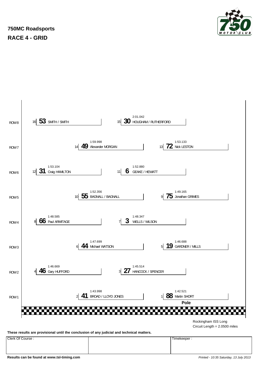

### **750MC Roadsports RACE 4 - GRID**



**Results can be found at www.tsl-timing.com** *Printed - 10:35 Saturday, 13 July 2013*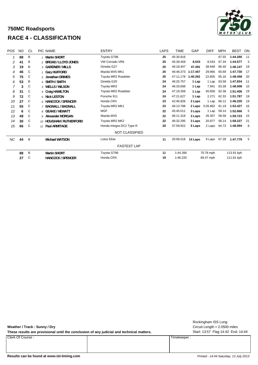### **750MC Roadsports RACE 4 - CLASSIFICATION**



| <b>POS</b> | <b>NO</b> | CL           | <b>PIC NAME</b>          | <b>ENTRY</b>             | <b>LAPS</b> | <b>TIME</b> | GAP      | <b>DIFF</b> | <b>MPH</b> | <b>BEST</b> | ON   |
|------------|-----------|--------------|--------------------------|--------------------------|-------------|-------------|----------|-------------|------------|-------------|------|
|            | 88        | B            | 1 Martin SHORT           | Toyota GT86              | 25          | 45:30.916   |          |             | 67.55      | 1:44.266    | 11   |
| 2          | 41        | Β            | 2 BROAD / LLOYD JONES    | VW Corrado VR6           | 25          | 45:39.459   | 8.543    | 8.543       | 67.34      | 1:44.577    | 3    |
| 3          | 19        | B            | 3 GARDNER / MILLS        | Ginetta G27              | 25          | 46:18.407   | 47.491   | 38.948      | 66.40      | 1:46.147    | 19   |
| 4          | 46        | C            | 1 Gary HUFFORD           | Mazda MX5 MK1            | 25          | 46:48.373   | 1:17.457 | 29.966      | 65.69      | 1:47.730    | - 17 |
| 5          | 75        | C            | 2 Jonathan GRIMES        | Toyota MR2 Roadster      | 25          | 47:11.178   | 1:40.262 | 22.805      | 65.16      | 1:48.458    | -20  |
| 6          | 53        | Β            | 4 SMITH / SMITH          | Ginetta G20              | 24          | 46:25.757   | 1 Lap    | 1 Lap       | 63.58      | 1:47.834    | 11   |
|            | 3         | C            | 3 WELLS / WILSON         | Toyota MR2               | 24          | 46:33.698   | 1 Lap    | 7.941       | 63.39      | 1:48.008    | -10  |
| 8          | 31        | C            | 4 Craig HAMILTON         | Toyota MR2 Roadster      | 24          | 47:19.356   | 1 Lap    | 45.658      | 62.38      | 1:51.406    | 19   |
| 9          | 72        | C            | 5 Nick LESTON            | Porsche 911              | 24          | 47:21.627   | 1 Lap    | 2.271       | 62.33      | 1:51.787    | 19   |
| 10         | 27        | $\mathsf{C}$ | 6 HANCOCK / SPENCER      | Honda CRX                | 23          | 42:46.926   | 2 Laps   | 1 Lap       | 66.12      | 1:46.220    | 19   |
| 11         | 55        | C            | 7 BAGNALL / BAGNALL      | Toyota MR2 MK1           | 23          | 46:13.788   | 2 Laps   | 3:26.862    | 61.19      | 1:53.427    | 16   |
| 12         | 6         | C            | 8 GEAKE / HEWATT         | <b>MGF</b>               | 22          | 45:45.011   | 3 Laps   | 1 Lap       | 59.14      | 1:52.666    | 5    |
| 13         | 49        | C            | 9 Alexander MORGAN       | Mazda MX5                | 22          | 46:11.318   | 3 Laps   | 26.307      | 58.58      | 1:59.723    | 15   |
| 14         | 30        | C            | 10 HOUGHAM / RUTHERFORD  | Toyota MR2 MK2           | 22          | 46:32.295   | 3 Laps   | 20.977      | 58.14      | 1:58.227    | 21   |
| 15         | 66        | C            | 11 Paul ARMITAGE         | Honda Integra DC2 Type R | 20          | 37:59.922   | 5 Laps   | 2 Laps      | 64.73      | 1:48.094    | 8    |
|            |           |              |                          | <b>NOT CLASSIFIED</b>    |             |             |          |             |            |             |      |
| NC         | 44        | B            | <b>Michael WATSON</b>    | <b>Lotus Elise</b>       | 11          | 20:06.518   | 14 Laps  | 9 Laps      | 67.28      | 1:47.779    | -5   |
|            |           |              |                          | <b>FASTEST LAP</b>       |             |             |          |             |            |             |      |
|            | 88        | B            | <b>Martin SHORT</b>      | Toyota GT86              | 11          | 1:44.266    |          | 70.78 mph   |            | 113.91 kph  |      |
|            | 27        | C            | <b>HANCOCK / SPENCER</b> | Honda CRX                | 19          | 1:46.220    |          | 69.47 mph   |            | 111.81 kph  |      |

**Weather / Track : Sunny / Dry**

These results are provisional until the conclusion of any judicial and technical matters. Start: 13:57 Flag 14:42 End: 14:44

Clerk Of Course : Timekeeper :

Circuit Length = 2.0500 miles Rockingham ISS Long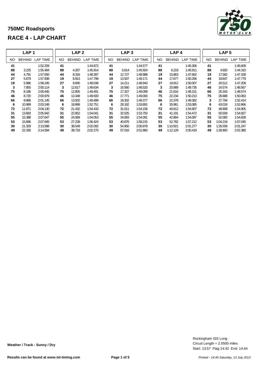|     | LAP <sub>1</sub> |                 |     | LAP <sub>2</sub> |                 |           | LAP <sub>3</sub> |                 |     | LAP <sub>4</sub> |                 |           | LAP <sub>5</sub> |                 |
|-----|------------------|-----------------|-----|------------------|-----------------|-----------|------------------|-----------------|-----|------------------|-----------------|-----------|------------------|-----------------|
| NO. | <b>BEHIND</b>    | <b>LAP TIME</b> | NO. | <b>BEHIND</b>    | <b>LAP TIME</b> | <b>NO</b> | <b>BEHIND</b>    | <b>LAP TIME</b> | NO. | <b>BEHIND</b>    | <b>LAP TIME</b> | <b>NO</b> | <b>BEHIND</b>    | <b>LAP TIME</b> |
| 41  |                  | 1:52.259        | 41  |                  | 1:44.872        | 41        |                  | 1:44.577        | 41  |                  | 1:45.306        | 41        |                  | 1:45.609        |
| 88  | 3.225            | 1:55.484        | 88  | 4.267            | 1:45.914        | 88        | 5.614            | 1:45.924        | 88  | 6.219            | 1:45.911        | 88        | 4.920            | 1:44.310        |
| 44  | 4.791            | 1:57.050        | 44  | 8.316            | 1:48.397        | 44        | 12.727           | 1:48.988        | 19  | 15.863           | 1:47.662        | 19        | 17.582           | 1:47.328        |
| 27  | 5.679            | 1:57.938        | 19  | 8.913            | 1:47.799        | 19        | 13.507           | 1:49.171        | 44  | 17.677           | 1:50.256        | 44        | 19.847           | 1:47.779        |
| 19  | 5.986            | 1:58.245        | 27  | 9.845            | 1:49.038        | 27        | 14.211           | 1:48.943        | 27  | 18.912           | 1:50.007        | 27        | 20.512           | 1:47.209        |
| 3   | 7.855            | 2:00.114        | 3   | 12.617           | 1:49.634        | 3         | 16.560           | 1:48.520        | 3   | 20.989           | 1:49.735        | 46        | 24.574           | 1:48.567        |
| 75  | 8.186            | 2:00.445        | 75  | 12.805           | 1:49.491        | 75        | 17.327           | 1:49.099        | 46  | 21.616           | 1:49.151        | 66        | 25.343           | 1:48.574        |
| 46  | 8.720            | 2:00.979        | 46  | 13.348           | 1:49.500        | 46        | 17.771           | 1:49.000        | 75  | 22.234           | 1:50.213        | 75        | 26.688           | 1:50.063        |
| 66  | 8.886            | 2:01.145        | 66  | 13.502           | 1:49.488        | 66        | 18.302           | 1:49.377        | 66  | 22.378           | 1:49.382        | 3         | 27.794           | 1:52.414        |
| 6   | 10.989           | 2:03.248        | 6   | 18.868           | 1:52.751        | 6         | 28.182           | 1:53.891        | 6   | 35.961           | 1:53.085        | 6         | 43.018           | 1:52.666        |
| 72  | 11.871           | 2:04.130        | 72  | 21.432           | 1:54.433        | 72        | 31.011           | 1:54.156        | 72  | 40.612           | 1:54.907        | 72        | 49.908           | 1:54.905        |
| 31  | 13.683           | 2:05.942        | 31  | 22.852           | 1:54.041        | 31        | 32.025           | 1:53.750        | 31  | 41.191           | 1:54.472        | 31        | 50.509           | 1:54.927        |
| 55  | 15.388           | 2:07.647        | 55  | 24.569           | 1:54.053        | 55        | 34.083           | 1:54.091        | 55  | 42.864           | 1:54.087        | 55        | 52.083           | 1:54.828        |
| 53  | 15.686           | 2:07.945        | 53  | 27.238           | 1:56.424        | 53        | 40.876           | 1:58.215        | 53  | 52.782           | 1:57.212        | 53        | 1:04.218         | 1:57.045        |
| 30  | 21.329           | 2:13.588        | 30  | 38.549           | 2:02.092        | 30        | 54.950           | 2:00.978        | 30  | 1:10.921         | 2:01.277        | 30        | 1:26.559         | 2:01.247        |
| 49  | 22.335           | 2:14.594        | 49  | 39.733           | 2:02.270        | 49        | 57.016           | 2:01.860        | 49  | 1:12.129         | 2:00.419        | 49        | 1:28.900         | 2:02.380        |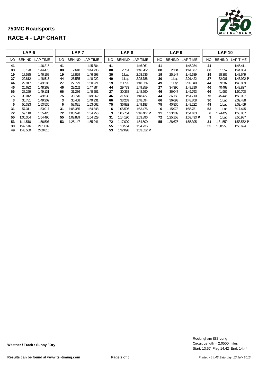|     | LAP <sub>6</sub> |          | LAP <sub>7</sub> |               |          | LAP <sub>8</sub> |                                  |                         |     | LAP <sub>9</sub> |                       | <b>LAP 10</b> |               |                         |
|-----|------------------|----------|------------------|---------------|----------|------------------|----------------------------------|-------------------------|-----|------------------|-----------------------|---------------|---------------|-------------------------|
| NO. | <b>BEHIND</b>    | LAP TIME | NO.              | <b>BEHIND</b> | LAP TIME | NO.              | <b>BEHIND</b><br><b>LAP TIME</b> |                         | NO. | <b>BEHIND</b>    | LAP TIME              | NO.           | <b>BEHIND</b> | <b>LAP TIME</b>         |
| 41  |                  | 1:46.215 | 41               |               | 1:45.304 | 41               |                                  | 1:46.061                | 41  |                  | 1:45.284              | 41            |               | 1:45.411                |
| 88  | 3.178            | 1:44.473 | 88               | 2.610         | 1:44.736 | 88               | 2.751                            | 1:46.202                | 88  | 2.104            | 1:44.637              | 88            | 1.557         | 1:44.864                |
| 19  | 17.535           | 1:46.168 | 19               | 18.829        | 1:46.598 | 30               | 1 Lap                            | 2:03.536                | 19  | 25.147           | 1:49.639              | 19            | 28.385        | 1:48.649                |
| 27  | 22.812           | 1:48.515 | 44               | 26.535        | 1:48.922 | 49               | 1 Lap                            | 2:03.786                | 30  | 1 Lap            | 2:01.422              | 27            | 32.901        | 1:43.922 <b>P</b>       |
| 44  | 22.917           | 1:49.285 | 27               | 27.729        | 1:50.221 | 19               | 20.792                           | 1:48.024                | 49  | 1 Lap            | 2:02.040              | 44            | 39.587        | 1:48.839                |
| 46  | 26.622           | 1:48.263 | 46               | 29.202        | 1:47.884 | 44               | 29.733                           | 1:49.259                | 27  | 34.390           | 1:49.316              | 46            | 40.463        | 1:49.827                |
| 66  | 28.259           | 1:49.131 | 66               | 31.236        | 1:48.281 | 27               | 30.358                           | 1:48.690                | 46  | 36.047           | 1:49.763              | 66            | 41.982        | 1:50.700                |
| 75  | 30.012           | 1:49.539 | 75               | 33.770        | 1:49.062 | 46               | 31.568                           | 1:48.427                | 44  | 36.159           | 1:51.710              | 75            | 45.446        | 1:50.027                |
| 3   | 30.781           | 1:49.202 | 3                | 35.408        | 1:49.931 | 66               | 33.269                           | 1:48.094                | 66  | 36.693           | 1:48.708              | 30            | 1 Lap         | 2:02.488                |
| 6   | 50.333           | 1:53.530 | 6                | 58.091        | 1:53.062 | 75               | 36.892                           | 1:49.183                | 75  | 40.830           | 1:49.222              | 49            | 1 Lap         | 2:02.459                |
| 31  | 57.311           | 1:53.017 | 31               | 1:06.355      | 1:54.348 | 6                | 1:05.506                         | 1:53.476                | 6   | 1:15.973         | 1:55.751              | 53            | 1 Lap         | 3:17.445                |
| 72  | 59.118           | 1:55.425 | 72               | 1:08.570      | 1:54.756 | 3                | 1:05.754                         | $2:16.407$ P            | 31  | 1:23.389         | 1:54.483              | 6             | 1:24.429      | 1:53.867                |
| 55  | 1:00.364         | 1:54.496 | 55               | 1:09.889      | 1:54.829 | 31               | 1:14.190                         | 1:53.896                | 72  | 1:25.158         | 1:53.433 $\textbf{P}$ | 3             | 1 Lap         | 3:55.987                |
| 53  | 1:14.510         | 1:56.507 | 53               | 1:25.147      | 1:55.941 | 72               | 1:17.009                         | 1:54.500                | 55  | 1:28.675         | 1:55.395              | 31            | 1:31.550      | 1:53.572 $\blacksquare$ |
| 30  | 1:42.146         | 2:01.802 |                  |               |          | 55               | 1:18.564                         | 1:54.736                |     |                  |                       | 55            | 1:38.958      | 1:55.694                |
| 49  | 1:43.500         | 2:00.815 |                  |               |          | 53               | 1:32.098                         | 1:53.012 $\blacksquare$ |     |                  |                       |               |               |                         |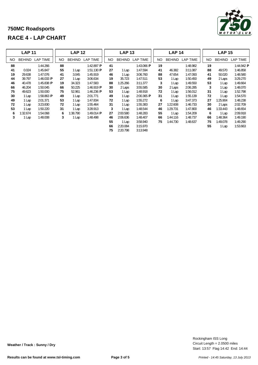|     | <b>LAP 11</b> |                 | <b>LAP 12</b> |               |                         | <b>LAP 13</b> |               |                         | <b>LAP 14</b> |               |                 |     | <b>LAP 15</b> |            |  |
|-----|---------------|-----------------|---------------|---------------|-------------------------|---------------|---------------|-------------------------|---------------|---------------|-----------------|-----|---------------|------------|--|
| NO. | <b>BEHIND</b> | <b>LAP TIME</b> | NO.           | <b>BEHIND</b> | <b>LAP TIME</b>         | NO.           | <b>BEHIND</b> | <b>LAP TIME</b>         | <b>NO</b>     | <b>BEHIND</b> | <b>LAP TIME</b> | NO. | <b>BEHIND</b> | LAP TIME   |  |
| 88  |               | 1:44.266        | 88            |               | 1:42.897 $\textbf{P}$   | 41            |               | 1:43.066 P              | 19            |               | 1:48.982        | 19  |               | 1:44.942 P |  |
| 41  | 0.024         | 1:45.847        | 55            | 1 Lap         | 1:51.130 $\blacksquare$ | 27            | 1 Lap         | 1:47.594                | 41            | 46.382        | 3:11.087        | 88  | 49.570        | 1:46.858   |  |
| 19  | 29.638        | 1:47.076        | 41            | 3.045         | 1:45.919                | 46            | 1 Lap         | 3:06.760                | 88            | 47.654        | 1:47.093        | 41  | 50.020        | 1:48.580   |  |
| 44  | 39.797        | 1:46.033 $P$    | 27            | 1 Lap         | 3:06.634                | 19            | 35.723        | 1:47.511                | 53            | 1 Lap         | 1:50.450        | 49  | 2 Laps        | 3:29.270   |  |
| 46  | 40.478        | 1:45.838 P      | 19            | 34.323        | 1:47.583                | 88            | 1:25.266      | 3:11.377                | 3             | Lap           | 1:49.550        | 53  | 1 Lap         | 1:49.664   |  |
| 66  | 46.204        | 1:50.045        | 66            | 50.225        | 1:46.919 $\bf{P}$       | 30            | 2 Laps        | 3:55.585                | 30            | 2 Laps        | 2:06.285        |     | 3<br>1 Lap    | 1:48.070   |  |
| 75  | 49.623        | 1:50.000        | 75            | 52.961        | 1:46.236 $P$            | 53            | 1 Lap         | 1:48.918                | 72            | Lap           | 1:56.012        | 31  | 1 Lap         | 1:52.798   |  |
| 30  | 1 Lap         | 1:58.863 $P$    | 49            | 1 Lap         | 2:01.771                | 49            | 1 Lap         | 2:00.365 $\blacksquare$ | 31            | Lap           | 1:55.139        | 72  | 1 Lap         | 1:54.570   |  |
| 49  | 1 Lap         | 2:01.371        | 53            | 1 Lap         | 1:47.834                | 72            | 1 Lap         | 1:55.272                | 6             | Lap           | 3:47.373        | 27  | 1:25.904      | 1:48.238   |  |
| 72  | 1 Lap         | 3:23.830        | 72            | 1 Lap         | 1:55.464                | 31            | 1 Lap         | 1:55.383                | 27            | 1:22.608      | 1:46.733        | 30  | 2 Laps        | 2:02.709   |  |
| 53  | 1 Lap         | 1:50.220        | 31            | 1 Lap         | 3:28.913                | 3             | 1 Lap         | 1:48.544                | 46            | 1:29.731      | 1:47.800        | 46  | 1:33.443      | 1:48.654   |  |
| 6   | 1:32.674      | 1:54.068        | 6             | :38.790       | 1:49.014 <b>P</b>       | 27            | 2:00.580      | 1:48.283                | 55            | Lap           | 1:54.209        |     | 6<br>1 Lap    | 2:09.918   |  |
| 3   | 1 Lap         | 1:48.008        | 3             | 1 Lap         | 1:48.498                | 46            | 2:06.636      | 1:48.407                | 66            | 1:44.116      | 1:48.737        | 66  | 1:48.364      | 1:49.190   |  |
|     |               |                 |               |               |                         | 55            | 1 Lap         | 3:58.940                | 75            | 1:44.730      | 1:48.637        | 75  | 1:49.078      | 1:49.290   |  |
|     |               |                 |               |               |                         | 66            | 2:20.084      | 3:15.970                |               |               |                 | 55  | 1 Lap         | 1:53.663   |  |
|     |               |                 |               |               |                         | 75            | 2:20.798      | 3:13.948                |               |               |                 |     |               |            |  |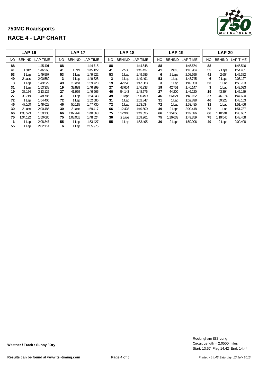|     | <b>LAP 16</b> |                 | <b>LAP 17</b> |               |          | <b>LAP 18</b> |               |          |     | <b>LAP 19</b> |                 | <b>LAP 20</b> |               |                 |  |
|-----|---------------|-----------------|---------------|---------------|----------|---------------|---------------|----------|-----|---------------|-----------------|---------------|---------------|-----------------|--|
| NO. | <b>BEHIND</b> | <b>LAP TIME</b> | <b>NO</b>     | <b>BEHIND</b> | LAP TIME | <b>NO</b>     | <b>BEHIND</b> | LAP TIME | NO. | <b>BEHIND</b> | <b>LAP TIME</b> | NO.           | <b>BEHIND</b> | <b>LAP TIME</b> |  |
| 88  |               | 1:45.401        | 88            |               | 1:44.715 | 88            |               | 1:44.648 | 88  |               | 1:45.674        | 88            |               | 1:45.546        |  |
| 41  | 1.312         | 1:46.263        | 41            | 1.719         | 1:45.122 | 41            | 2.508         | 1:45.437 | 41  | 2.818         | 1:45.984        | 55            | 2 Laps        | 1:54.431        |  |
| 53  | 1 Lap         | 1:49.567        | 53            | 1 Lap         | 1:49.622 | 53            | Lap           | 1:49.685 | 6   | 2 Laps        | 2:08.696        | 41            | 2.654         | 1:45.382        |  |
| 49  | 2 Laps        | 2:00.580        | 3             | 1 Lap         | 1:49.628 | 3             | Lap           | 1:49.491 | 53  | 1 Lap         | 1:48.745        | 6             | 2 Laps        | 2:05.127        |  |
| 3   | 1 Lap         | 1:49.522        | 49            | 2 Laps        | 1:59.723 | 19            | 42.278        | 1:47.088 | 3   | 1 Lap         | 1:49.050        | 53            | 1 Lap         | 1:50.733        |  |
| 31  | 1 Lap         | 1:53.338        | 19            | 39.838        | 1:46.399 | 27            | 43.654        | 1:46.333 | 19  | 42.751        | 1:46.147        | 3             | 1 Lap         | 1:49.093        |  |
| 19  | 38.154        | 3:13.125        | 27            | 41.969        | 1:46.965 | 46            | 54.143        | 1:48.676 | 27  | 44.200        | 1:46.220        | 19            | 43.394        | 1:46.189        |  |
| 27  | 39.719        | 1:48.786        | 31            | 1 Lap         | 1:54.343 | 49            | 2 Laps        | 2:00.499 | 46  | 56.621        | 1:48.152        | 27            | 46.274        | 1:47.620        |  |
| 72  | 1 Lap         | 1:54.405        | 72            | 1 Lap         | 1:52.585 | 31            | 1 Lap         | 1:52.847 | 31  | 1 Lap         | 1:52.898        | 46            | 59.228        | 1:48.153        |  |
| 46  | 47.100        | 1:48.628        | 46            | 50.115        | 1:47.730 | 72            | i Lap         | 1:53.034 | 72  | 1 Lap         | 1:53.485        | 31            | 1 Lap         | 1:51.406        |  |
| 30  | 2 Laps        | 2:00.485        | 30            | 2 Laps        | 1:59.417 | 66            | 1:12.428      | 1:49.600 | 49  | 2 Laps        | 2:00.418        | 72            | 1 Lap         | 1:51.787        |  |
| 66  | 1:03.523      | 1:50.130        | 66            | 1:07.476      | 1:48.668 | 75            | 1:12.948      | 1:49.595 | 66  | 1:15.850      | 1:49.096        | 66            | 1:18.991      | 1:48.687        |  |
| 75  | 1:04.192      | 1:50.085        | 75            | 1:08.001      | 1:48.524 | 30            | 2 Laps        | 1:59.261 | 75  | 1:16.633      | 1:49.359        | 75            | 1:19.545      | 1:48.458        |  |
| 6   | 1 Lap         | 2:08.347        | 55            | 1 Lap         | 1:53.427 | 55            | 1 Lap         | 1:53.495 | 30  | 2 Laps        | 1:59.006        | 49            | 2 Laps        | 2:00.408        |  |
| 55  | 1 Lap         | 2:02.114        | 6             | 1 Lap         | 2:05.975 |               |               |          |     |               |                 |               |               |                 |  |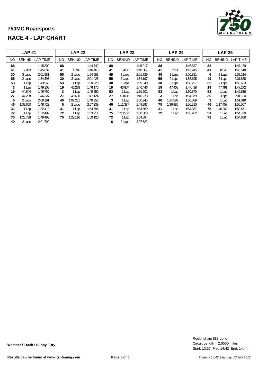|     | <b>LAP 21</b> |                 | <b>LAP 22</b> |               |                 | <b>LAP 23</b> |               |                 | <b>LAP 24</b> |     |               |                 | <b>LAP 25</b> |     |               |                 |
|-----|---------------|-----------------|---------------|---------------|-----------------|---------------|---------------|-----------------|---------------|-----|---------------|-----------------|---------------|-----|---------------|-----------------|
| NO. | <b>BEHIND</b> | <b>LAP TIME</b> | NO.           | <b>BEHIND</b> | <b>LAP TIME</b> | NO            | <b>BEHIND</b> | <b>LAP TIME</b> |               | NO. | <b>BEHIND</b> | <b>LAP TIME</b> |               | NO. | <b>BEHIND</b> | <b>LAP TIME</b> |
| 88  |               | 1:45.300        | 88            |               | 1:44.742        | 88            |               | 1:45.917        |               | 88  |               | 1:46.837        |               | 88  |               | 1:47.189        |
| 41  | 2.993         | 1:45.639        | 41            | 4.716         | 1:46.465        | 41            | 6.806         | 1:48.007        |               | 41  | 7.214         | 1:47.245        |               | 41  | 8.543         | 1:48.518        |
| 30  | 3 Laps        | 2:01.581        | 55            | 2 Laps        | 1:54.583        | 49            | 3 Laps        | 2:01.729        |               | 49  | 3 Laps        | 2:00.881        |               | 6   | 3 Laps        | 2:08.214        |
| 55  | 2 Laps        | 1:54.395        | 30            | 3 Laps        | 2:01.426        | 55            | 2 Laps        | 1:54.197        |               | 55  | 2 Laps        | 1:53.695        |               | 49  | 3 Laps        | 2:01.888        |
| 53  | 1 Lap         | 1:49.963        | 53            | 1 Lap         | 1:50.220        | 30            | 3 Laps        | 1:59.840        |               | 30  | 3 Laps        | 1:58.227        |               | 55  | 2 Laps        | 1:55.653        |
| 3   | 1 Lap         | 1:49.108        | 19            | 46.278        | 1:46.176        | 19            | 46.807        | 1:46.446        |               | 19  | 47.408        | 1:47.438        |               | 19  | 47.491        | 1:47.272        |
| 19  | 44.844        | 1:46.750        | 3             | 1 Lap         | 1:49.850        | 53            | 1 Lap         | 1:50.202        |               | 53  | 1 Lap         | 1:50.670        |               | 53  | 1 Lap         | 1:49.518        |
| 27  | 47.298        | 1:46.324        | 27            | 49.680        | 1:47.124        | 27            | 50.036        | 1:46.273        |               | 3   | 1 Lap         | 1:51.379        |               | 30  | 3 Laps        | 2:01.180        |
| 6   | 2 Laps        | 2:08.191        | 46            | 1:07.261      | 1:49.353        | 3             | 1 Lap         | 1:50.945        |               | 46  | 1:14.589      | 1:50.089        |               | 3   | 1 Lap         | 1:51.018        |
| 46  | 1:02.650      | 1:48.722        | 6             | 2 Laps        | 2:07.239        | 46            | 1:11.337      | 1:49.993        |               | 75  | 1:36.980      | 1:50.310        |               | 46  | 1:17.457      | 1:50.057        |
| 31  | 1 Lap         | 1:52.412        | 31            | 1 Lap         | 1:53.696        | 31            | 1 Lap         | 1:54.569        |               | 31  | 1 Lap         | 1:54.387        |               | 75  | 1:40.262      | 1:50.471        |
| 72  | 1 Lap         | 1:52.492        | 72            | 1 Lap         | 1:53.211        | 75            | 1:33.507      | 1:50.308        |               | 72  | 1 Lap         | 1:55.262        |               | 31  | 1 Lap         | 1:54.779        |
| 75  | 1:23.738      | 1:49.493        | 75            | 1:29.116      | 1:50.120        | 72            | 1 Lap         | 1:54.884        |               |     |               |                 |               | 72  | 1 Lap         | 1:54.689        |
| 49  | 2 Laps        | 2:01.792        |               |               |                 | 6             | 2 Laps        | 2:07.522        |               |     |               |                 |               |     |               |                 |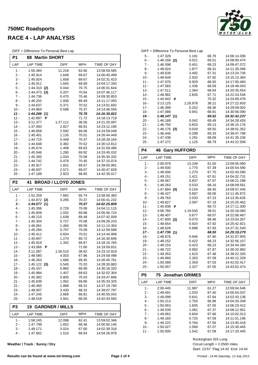### **750MC Roadsports RACE 4 - LAP ANALYSIS**

DIFF = Difference To Personal Best Lap

| <b>MPH</b><br>LAP<br><b>LAP TIME</b><br>DIFF<br>TIME OF DAY<br>11.218<br>1 -<br>1:55.484<br>63.90<br>13:58:59.585<br>2 -<br>1:45.914<br>1.648<br>69.67<br>14:00:45.499<br>3 -<br>69.67<br>1:45.924<br>1.658<br>14:02:31.423<br>4 -<br>1:45.911<br>1.645<br>69.68<br>14:04:17.334<br>5 -<br>1:44.310<br>(2)<br>0.044<br>70.75<br>14:06:01.644<br>6 -<br>1:44.473<br>0.207<br>70.64<br>14:07:46.117<br>(3)<br>7 -<br>1:44.736<br>0.470<br>70.46<br>14:09:30.853<br>8 -<br>1:46.202<br>1.936<br>69.49<br>14:11:17.055<br>9 -<br>14:13:01.692<br>1:44.637<br>0.371<br>70.52<br>10 -<br>1:44.864<br>0.598<br>70.37<br>14:14:46.556<br>11 -<br>1:44.266<br>(1)<br>70.78<br>14:16:30.822<br>$12 -$<br>14:18:13.719<br>1:42.897<br>Р<br>71.72<br>$13 -$<br>3:11.377<br>1:27.111<br>38.56<br>14:21:25.097<br>$14 -$<br>2.827<br>14:23:12.190<br>1:47.093<br>68.91<br>$15 -$<br>1:46.858<br>2.592<br>69.06<br>14:24:59.048<br>$16 -$<br>1.135<br>1:45.401<br>70.01<br>14:26:44.449<br>$17 -$<br>1:44.715<br>0.449<br>70.47<br>14:28:29.164<br>$18 -$<br>1:44.648<br>0.382<br>70.52<br>14:30:13.812<br>$19 -$<br>1:45.674<br>1.408<br>69.83<br>14:31:59.486<br>$20 -$<br>1:45.546<br>1.280<br>69.92<br>14:33:45.032<br>21 -<br>1:45.300<br>1.034<br>70.08<br>14:35:30.332<br>$22 -$<br>14:37:15.074<br>1:44.742<br>0.476<br>70.45<br>23 -<br>1:45.917<br>1.651<br>14:39:00.991<br>69.67<br>24 -<br>1:46.837<br>2.571<br>69.07<br>14:40:47.828<br>25 -<br>1:47.189<br>2.923<br>68.85<br>14:42:35.017<br>P <sub>2</sub><br><b>BROAD / LLOYD JONES</b><br>41<br>LAP<br><b>LAP TIME</b><br>DIFF<br><b>MPH</b><br>TIME OF DAY<br>1 -<br>1:52.259<br>7.682<br>65.74<br>13:58:56.360<br>2 -<br>$1:44.872$ (2)<br>0.295<br>70.37<br>14:00:41.232<br>3 -<br>1:44.577(1)<br>70.57<br>14:02:25.809<br>4 -<br>1:45.306<br>0.729<br>70.08<br>14:04:11.115<br>5 -<br>1:45.609<br>1.032<br>69.88<br>14:05:56.724<br>6 -<br>1:46.215<br>1.638<br>69.48<br>14:07:42.939<br>$7 -$<br>1:45.304<br>0.727<br>70.08<br>14:09:28.243<br>8 -<br>1:46.061<br>1.484<br>69.58<br>14:11:14.304<br>9 -<br>1:45.284<br>0.707<br>70.09<br>14:12:59.588<br>$10 -$<br>14:14:44.999<br>1:45.411<br>0.834<br>70.01<br>11 -<br>1:45.847<br>1.270<br>69.72<br>14:16:30.846<br>14:18:16.765<br>$12 -$<br>1:45.919<br>1.342<br>69.67<br>13 -<br>1:43.066<br>Р<br>71.60<br>14.19.59.831<br>$14 -$<br>3:11.087<br>1:26.510<br>38.62<br>14:23:10.918<br>$15 -$<br>1:48.580<br>4.003<br>67.96<br>14:24:59.498<br>16 -<br>1:46.263<br>1.686<br>69.45<br>14:26:45.761<br>$17 -$<br>$1:45.122$ (3)<br>0.545<br>70.20<br>14:28:30.883<br>18 -<br>69.99<br>14:30:16.320<br>1:45.437<br>0.860<br>19 -<br>1:45.984<br>1.407<br>69.63<br>14:32:02.304<br>20 -<br>70.03<br>14:33:47.686<br>1:45.382<br>0.805<br>21 -<br>1:45.639<br>1.062<br>69.86<br>14:35:33.325<br>22 -<br>1:46.465<br>1.888<br>69.31<br>14:37:19.790<br>23 -<br>1:48.007<br>3.430<br>68.32<br>14:39:07.797<br>24 -<br>1:47.245<br>2.668<br>68.81<br>14:40:55.042<br>25 -<br>1:48.518<br>3.941<br>68.00<br>14:42:43.560<br>P <sub>3</sub><br><b>GARDNER / MILLS</b><br>19<br>MPH<br>TIME OF DAY<br>LAP<br>LAP TIME<br>DIFF<br>1 -<br>1:58.245<br>12.098<br>62.41<br>13:59:02.346<br>$2 -$<br>1:47.799<br>14:00:50.145<br>1.652<br>68.46<br>$3 -$<br>1:49.171<br>3.024<br>67.60<br>14:02:39.316<br>4 -<br>1:47.662<br>1.515<br>68.54<br>14:04:26.978 | י וו ש<br>Dincrence To Fersonal Dest Eap<br>P1<br>88<br><b>Martin SHORT</b> |  |  |  |  |  |  |
|---------------------------------------------------------------------------------------------------------------------------------------------------------------------------------------------------------------------------------------------------------------------------------------------------------------------------------------------------------------------------------------------------------------------------------------------------------------------------------------------------------------------------------------------------------------------------------------------------------------------------------------------------------------------------------------------------------------------------------------------------------------------------------------------------------------------------------------------------------------------------------------------------------------------------------------------------------------------------------------------------------------------------------------------------------------------------------------------------------------------------------------------------------------------------------------------------------------------------------------------------------------------------------------------------------------------------------------------------------------------------------------------------------------------------------------------------------------------------------------------------------------------------------------------------------------------------------------------------------------------------------------------------------------------------------------------------------------------------------------------------------------------------------------------------------------------------------------------------------------------------------------------------------------------------------------------------------------------------------------------------------------------------------------------------------------------------------------------------------------------------------------------------------------------------------------------------------------------------------------------------------------------------------------------------------------------------------------------------------------------------------------------------------------------------------------------------------------------------------------------------------------------------------------------------------------------------------------------------------------------------------------------------------------------------------------------------------------------------------------------------------------------------------------------------------------------------------------------------------------------------------------------------------------------------------------------------------------------------------------------------------------------------------------------------------------------------------------------------------------------------------------------------------------------------------------------------------------------------------------------------------------------------------------------------------------------------------------------------------|-----------------------------------------------------------------------------|--|--|--|--|--|--|
|                                                                                                                                                                                                                                                                                                                                                                                                                                                                                                                                                                                                                                                                                                                                                                                                                                                                                                                                                                                                                                                                                                                                                                                                                                                                                                                                                                                                                                                                                                                                                                                                                                                                                                                                                                                                                                                                                                                                                                                                                                                                                                                                                                                                                                                                                                                                                                                                                                                                                                                                                                                                                                                                                                                                                                                                                                                                                                                                                                                                                                                                                                                                                                                                                                                                                                                                                         |                                                                             |  |  |  |  |  |  |
|                                                                                                                                                                                                                                                                                                                                                                                                                                                                                                                                                                                                                                                                                                                                                                                                                                                                                                                                                                                                                                                                                                                                                                                                                                                                                                                                                                                                                                                                                                                                                                                                                                                                                                                                                                                                                                                                                                                                                                                                                                                                                                                                                                                                                                                                                                                                                                                                                                                                                                                                                                                                                                                                                                                                                                                                                                                                                                                                                                                                                                                                                                                                                                                                                                                                                                                                                         |                                                                             |  |  |  |  |  |  |
|                                                                                                                                                                                                                                                                                                                                                                                                                                                                                                                                                                                                                                                                                                                                                                                                                                                                                                                                                                                                                                                                                                                                                                                                                                                                                                                                                                                                                                                                                                                                                                                                                                                                                                                                                                                                                                                                                                                                                                                                                                                                                                                                                                                                                                                                                                                                                                                                                                                                                                                                                                                                                                                                                                                                                                                                                                                                                                                                                                                                                                                                                                                                                                                                                                                                                                                                                         |                                                                             |  |  |  |  |  |  |
|                                                                                                                                                                                                                                                                                                                                                                                                                                                                                                                                                                                                                                                                                                                                                                                                                                                                                                                                                                                                                                                                                                                                                                                                                                                                                                                                                                                                                                                                                                                                                                                                                                                                                                                                                                                                                                                                                                                                                                                                                                                                                                                                                                                                                                                                                                                                                                                                                                                                                                                                                                                                                                                                                                                                                                                                                                                                                                                                                                                                                                                                                                                                                                                                                                                                                                                                                         |                                                                             |  |  |  |  |  |  |
|                                                                                                                                                                                                                                                                                                                                                                                                                                                                                                                                                                                                                                                                                                                                                                                                                                                                                                                                                                                                                                                                                                                                                                                                                                                                                                                                                                                                                                                                                                                                                                                                                                                                                                                                                                                                                                                                                                                                                                                                                                                                                                                                                                                                                                                                                                                                                                                                                                                                                                                                                                                                                                                                                                                                                                                                                                                                                                                                                                                                                                                                                                                                                                                                                                                                                                                                                         |                                                                             |  |  |  |  |  |  |
|                                                                                                                                                                                                                                                                                                                                                                                                                                                                                                                                                                                                                                                                                                                                                                                                                                                                                                                                                                                                                                                                                                                                                                                                                                                                                                                                                                                                                                                                                                                                                                                                                                                                                                                                                                                                                                                                                                                                                                                                                                                                                                                                                                                                                                                                                                                                                                                                                                                                                                                                                                                                                                                                                                                                                                                                                                                                                                                                                                                                                                                                                                                                                                                                                                                                                                                                                         |                                                                             |  |  |  |  |  |  |
|                                                                                                                                                                                                                                                                                                                                                                                                                                                                                                                                                                                                                                                                                                                                                                                                                                                                                                                                                                                                                                                                                                                                                                                                                                                                                                                                                                                                                                                                                                                                                                                                                                                                                                                                                                                                                                                                                                                                                                                                                                                                                                                                                                                                                                                                                                                                                                                                                                                                                                                                                                                                                                                                                                                                                                                                                                                                                                                                                                                                                                                                                                                                                                                                                                                                                                                                                         |                                                                             |  |  |  |  |  |  |
|                                                                                                                                                                                                                                                                                                                                                                                                                                                                                                                                                                                                                                                                                                                                                                                                                                                                                                                                                                                                                                                                                                                                                                                                                                                                                                                                                                                                                                                                                                                                                                                                                                                                                                                                                                                                                                                                                                                                                                                                                                                                                                                                                                                                                                                                                                                                                                                                                                                                                                                                                                                                                                                                                                                                                                                                                                                                                                                                                                                                                                                                                                                                                                                                                                                                                                                                                         |                                                                             |  |  |  |  |  |  |
|                                                                                                                                                                                                                                                                                                                                                                                                                                                                                                                                                                                                                                                                                                                                                                                                                                                                                                                                                                                                                                                                                                                                                                                                                                                                                                                                                                                                                                                                                                                                                                                                                                                                                                                                                                                                                                                                                                                                                                                                                                                                                                                                                                                                                                                                                                                                                                                                                                                                                                                                                                                                                                                                                                                                                                                                                                                                                                                                                                                                                                                                                                                                                                                                                                                                                                                                                         |                                                                             |  |  |  |  |  |  |
|                                                                                                                                                                                                                                                                                                                                                                                                                                                                                                                                                                                                                                                                                                                                                                                                                                                                                                                                                                                                                                                                                                                                                                                                                                                                                                                                                                                                                                                                                                                                                                                                                                                                                                                                                                                                                                                                                                                                                                                                                                                                                                                                                                                                                                                                                                                                                                                                                                                                                                                                                                                                                                                                                                                                                                                                                                                                                                                                                                                                                                                                                                                                                                                                                                                                                                                                                         |                                                                             |  |  |  |  |  |  |
|                                                                                                                                                                                                                                                                                                                                                                                                                                                                                                                                                                                                                                                                                                                                                                                                                                                                                                                                                                                                                                                                                                                                                                                                                                                                                                                                                                                                                                                                                                                                                                                                                                                                                                                                                                                                                                                                                                                                                                                                                                                                                                                                                                                                                                                                                                                                                                                                                                                                                                                                                                                                                                                                                                                                                                                                                                                                                                                                                                                                                                                                                                                                                                                                                                                                                                                                                         |                                                                             |  |  |  |  |  |  |
|                                                                                                                                                                                                                                                                                                                                                                                                                                                                                                                                                                                                                                                                                                                                                                                                                                                                                                                                                                                                                                                                                                                                                                                                                                                                                                                                                                                                                                                                                                                                                                                                                                                                                                                                                                                                                                                                                                                                                                                                                                                                                                                                                                                                                                                                                                                                                                                                                                                                                                                                                                                                                                                                                                                                                                                                                                                                                                                                                                                                                                                                                                                                                                                                                                                                                                                                                         |                                                                             |  |  |  |  |  |  |
|                                                                                                                                                                                                                                                                                                                                                                                                                                                                                                                                                                                                                                                                                                                                                                                                                                                                                                                                                                                                                                                                                                                                                                                                                                                                                                                                                                                                                                                                                                                                                                                                                                                                                                                                                                                                                                                                                                                                                                                                                                                                                                                                                                                                                                                                                                                                                                                                                                                                                                                                                                                                                                                                                                                                                                                                                                                                                                                                                                                                                                                                                                                                                                                                                                                                                                                                                         |                                                                             |  |  |  |  |  |  |
|                                                                                                                                                                                                                                                                                                                                                                                                                                                                                                                                                                                                                                                                                                                                                                                                                                                                                                                                                                                                                                                                                                                                                                                                                                                                                                                                                                                                                                                                                                                                                                                                                                                                                                                                                                                                                                                                                                                                                                                                                                                                                                                                                                                                                                                                                                                                                                                                                                                                                                                                                                                                                                                                                                                                                                                                                                                                                                                                                                                                                                                                                                                                                                                                                                                                                                                                                         |                                                                             |  |  |  |  |  |  |
|                                                                                                                                                                                                                                                                                                                                                                                                                                                                                                                                                                                                                                                                                                                                                                                                                                                                                                                                                                                                                                                                                                                                                                                                                                                                                                                                                                                                                                                                                                                                                                                                                                                                                                                                                                                                                                                                                                                                                                                                                                                                                                                                                                                                                                                                                                                                                                                                                                                                                                                                                                                                                                                                                                                                                                                                                                                                                                                                                                                                                                                                                                                                                                                                                                                                                                                                                         |                                                                             |  |  |  |  |  |  |
|                                                                                                                                                                                                                                                                                                                                                                                                                                                                                                                                                                                                                                                                                                                                                                                                                                                                                                                                                                                                                                                                                                                                                                                                                                                                                                                                                                                                                                                                                                                                                                                                                                                                                                                                                                                                                                                                                                                                                                                                                                                                                                                                                                                                                                                                                                                                                                                                                                                                                                                                                                                                                                                                                                                                                                                                                                                                                                                                                                                                                                                                                                                                                                                                                                                                                                                                                         |                                                                             |  |  |  |  |  |  |
|                                                                                                                                                                                                                                                                                                                                                                                                                                                                                                                                                                                                                                                                                                                                                                                                                                                                                                                                                                                                                                                                                                                                                                                                                                                                                                                                                                                                                                                                                                                                                                                                                                                                                                                                                                                                                                                                                                                                                                                                                                                                                                                                                                                                                                                                                                                                                                                                                                                                                                                                                                                                                                                                                                                                                                                                                                                                                                                                                                                                                                                                                                                                                                                                                                                                                                                                                         |                                                                             |  |  |  |  |  |  |
|                                                                                                                                                                                                                                                                                                                                                                                                                                                                                                                                                                                                                                                                                                                                                                                                                                                                                                                                                                                                                                                                                                                                                                                                                                                                                                                                                                                                                                                                                                                                                                                                                                                                                                                                                                                                                                                                                                                                                                                                                                                                                                                                                                                                                                                                                                                                                                                                                                                                                                                                                                                                                                                                                                                                                                                                                                                                                                                                                                                                                                                                                                                                                                                                                                                                                                                                                         |                                                                             |  |  |  |  |  |  |
|                                                                                                                                                                                                                                                                                                                                                                                                                                                                                                                                                                                                                                                                                                                                                                                                                                                                                                                                                                                                                                                                                                                                                                                                                                                                                                                                                                                                                                                                                                                                                                                                                                                                                                                                                                                                                                                                                                                                                                                                                                                                                                                                                                                                                                                                                                                                                                                                                                                                                                                                                                                                                                                                                                                                                                                                                                                                                                                                                                                                                                                                                                                                                                                                                                                                                                                                                         |                                                                             |  |  |  |  |  |  |
|                                                                                                                                                                                                                                                                                                                                                                                                                                                                                                                                                                                                                                                                                                                                                                                                                                                                                                                                                                                                                                                                                                                                                                                                                                                                                                                                                                                                                                                                                                                                                                                                                                                                                                                                                                                                                                                                                                                                                                                                                                                                                                                                                                                                                                                                                                                                                                                                                                                                                                                                                                                                                                                                                                                                                                                                                                                                                                                                                                                                                                                                                                                                                                                                                                                                                                                                                         |                                                                             |  |  |  |  |  |  |
|                                                                                                                                                                                                                                                                                                                                                                                                                                                                                                                                                                                                                                                                                                                                                                                                                                                                                                                                                                                                                                                                                                                                                                                                                                                                                                                                                                                                                                                                                                                                                                                                                                                                                                                                                                                                                                                                                                                                                                                                                                                                                                                                                                                                                                                                                                                                                                                                                                                                                                                                                                                                                                                                                                                                                                                                                                                                                                                                                                                                                                                                                                                                                                                                                                                                                                                                                         |                                                                             |  |  |  |  |  |  |
|                                                                                                                                                                                                                                                                                                                                                                                                                                                                                                                                                                                                                                                                                                                                                                                                                                                                                                                                                                                                                                                                                                                                                                                                                                                                                                                                                                                                                                                                                                                                                                                                                                                                                                                                                                                                                                                                                                                                                                                                                                                                                                                                                                                                                                                                                                                                                                                                                                                                                                                                                                                                                                                                                                                                                                                                                                                                                                                                                                                                                                                                                                                                                                                                                                                                                                                                                         |                                                                             |  |  |  |  |  |  |
|                                                                                                                                                                                                                                                                                                                                                                                                                                                                                                                                                                                                                                                                                                                                                                                                                                                                                                                                                                                                                                                                                                                                                                                                                                                                                                                                                                                                                                                                                                                                                                                                                                                                                                                                                                                                                                                                                                                                                                                                                                                                                                                                                                                                                                                                                                                                                                                                                                                                                                                                                                                                                                                                                                                                                                                                                                                                                                                                                                                                                                                                                                                                                                                                                                                                                                                                                         |                                                                             |  |  |  |  |  |  |
|                                                                                                                                                                                                                                                                                                                                                                                                                                                                                                                                                                                                                                                                                                                                                                                                                                                                                                                                                                                                                                                                                                                                                                                                                                                                                                                                                                                                                                                                                                                                                                                                                                                                                                                                                                                                                                                                                                                                                                                                                                                                                                                                                                                                                                                                                                                                                                                                                                                                                                                                                                                                                                                                                                                                                                                                                                                                                                                                                                                                                                                                                                                                                                                                                                                                                                                                                         |                                                                             |  |  |  |  |  |  |
|                                                                                                                                                                                                                                                                                                                                                                                                                                                                                                                                                                                                                                                                                                                                                                                                                                                                                                                                                                                                                                                                                                                                                                                                                                                                                                                                                                                                                                                                                                                                                                                                                                                                                                                                                                                                                                                                                                                                                                                                                                                                                                                                                                                                                                                                                                                                                                                                                                                                                                                                                                                                                                                                                                                                                                                                                                                                                                                                                                                                                                                                                                                                                                                                                                                                                                                                                         |                                                                             |  |  |  |  |  |  |
|                                                                                                                                                                                                                                                                                                                                                                                                                                                                                                                                                                                                                                                                                                                                                                                                                                                                                                                                                                                                                                                                                                                                                                                                                                                                                                                                                                                                                                                                                                                                                                                                                                                                                                                                                                                                                                                                                                                                                                                                                                                                                                                                                                                                                                                                                                                                                                                                                                                                                                                                                                                                                                                                                                                                                                                                                                                                                                                                                                                                                                                                                                                                                                                                                                                                                                                                                         |                                                                             |  |  |  |  |  |  |
|                                                                                                                                                                                                                                                                                                                                                                                                                                                                                                                                                                                                                                                                                                                                                                                                                                                                                                                                                                                                                                                                                                                                                                                                                                                                                                                                                                                                                                                                                                                                                                                                                                                                                                                                                                                                                                                                                                                                                                                                                                                                                                                                                                                                                                                                                                                                                                                                                                                                                                                                                                                                                                                                                                                                                                                                                                                                                                                                                                                                                                                                                                                                                                                                                                                                                                                                                         |                                                                             |  |  |  |  |  |  |
|                                                                                                                                                                                                                                                                                                                                                                                                                                                                                                                                                                                                                                                                                                                                                                                                                                                                                                                                                                                                                                                                                                                                                                                                                                                                                                                                                                                                                                                                                                                                                                                                                                                                                                                                                                                                                                                                                                                                                                                                                                                                                                                                                                                                                                                                                                                                                                                                                                                                                                                                                                                                                                                                                                                                                                                                                                                                                                                                                                                                                                                                                                                                                                                                                                                                                                                                                         |                                                                             |  |  |  |  |  |  |
|                                                                                                                                                                                                                                                                                                                                                                                                                                                                                                                                                                                                                                                                                                                                                                                                                                                                                                                                                                                                                                                                                                                                                                                                                                                                                                                                                                                                                                                                                                                                                                                                                                                                                                                                                                                                                                                                                                                                                                                                                                                                                                                                                                                                                                                                                                                                                                                                                                                                                                                                                                                                                                                                                                                                                                                                                                                                                                                                                                                                                                                                                                                                                                                                                                                                                                                                                         |                                                                             |  |  |  |  |  |  |
|                                                                                                                                                                                                                                                                                                                                                                                                                                                                                                                                                                                                                                                                                                                                                                                                                                                                                                                                                                                                                                                                                                                                                                                                                                                                                                                                                                                                                                                                                                                                                                                                                                                                                                                                                                                                                                                                                                                                                                                                                                                                                                                                                                                                                                                                                                                                                                                                                                                                                                                                                                                                                                                                                                                                                                                                                                                                                                                                                                                                                                                                                                                                                                                                                                                                                                                                                         |                                                                             |  |  |  |  |  |  |
|                                                                                                                                                                                                                                                                                                                                                                                                                                                                                                                                                                                                                                                                                                                                                                                                                                                                                                                                                                                                                                                                                                                                                                                                                                                                                                                                                                                                                                                                                                                                                                                                                                                                                                                                                                                                                                                                                                                                                                                                                                                                                                                                                                                                                                                                                                                                                                                                                                                                                                                                                                                                                                                                                                                                                                                                                                                                                                                                                                                                                                                                                                                                                                                                                                                                                                                                                         |                                                                             |  |  |  |  |  |  |
|                                                                                                                                                                                                                                                                                                                                                                                                                                                                                                                                                                                                                                                                                                                                                                                                                                                                                                                                                                                                                                                                                                                                                                                                                                                                                                                                                                                                                                                                                                                                                                                                                                                                                                                                                                                                                                                                                                                                                                                                                                                                                                                                                                                                                                                                                                                                                                                                                                                                                                                                                                                                                                                                                                                                                                                                                                                                                                                                                                                                                                                                                                                                                                                                                                                                                                                                                         |                                                                             |  |  |  |  |  |  |
|                                                                                                                                                                                                                                                                                                                                                                                                                                                                                                                                                                                                                                                                                                                                                                                                                                                                                                                                                                                                                                                                                                                                                                                                                                                                                                                                                                                                                                                                                                                                                                                                                                                                                                                                                                                                                                                                                                                                                                                                                                                                                                                                                                                                                                                                                                                                                                                                                                                                                                                                                                                                                                                                                                                                                                                                                                                                                                                                                                                                                                                                                                                                                                                                                                                                                                                                                         |                                                                             |  |  |  |  |  |  |
|                                                                                                                                                                                                                                                                                                                                                                                                                                                                                                                                                                                                                                                                                                                                                                                                                                                                                                                                                                                                                                                                                                                                                                                                                                                                                                                                                                                                                                                                                                                                                                                                                                                                                                                                                                                                                                                                                                                                                                                                                                                                                                                                                                                                                                                                                                                                                                                                                                                                                                                                                                                                                                                                                                                                                                                                                                                                                                                                                                                                                                                                                                                                                                                                                                                                                                                                                         |                                                                             |  |  |  |  |  |  |
|                                                                                                                                                                                                                                                                                                                                                                                                                                                                                                                                                                                                                                                                                                                                                                                                                                                                                                                                                                                                                                                                                                                                                                                                                                                                                                                                                                                                                                                                                                                                                                                                                                                                                                                                                                                                                                                                                                                                                                                                                                                                                                                                                                                                                                                                                                                                                                                                                                                                                                                                                                                                                                                                                                                                                                                                                                                                                                                                                                                                                                                                                                                                                                                                                                                                                                                                                         |                                                                             |  |  |  |  |  |  |
|                                                                                                                                                                                                                                                                                                                                                                                                                                                                                                                                                                                                                                                                                                                                                                                                                                                                                                                                                                                                                                                                                                                                                                                                                                                                                                                                                                                                                                                                                                                                                                                                                                                                                                                                                                                                                                                                                                                                                                                                                                                                                                                                                                                                                                                                                                                                                                                                                                                                                                                                                                                                                                                                                                                                                                                                                                                                                                                                                                                                                                                                                                                                                                                                                                                                                                                                                         |                                                                             |  |  |  |  |  |  |
|                                                                                                                                                                                                                                                                                                                                                                                                                                                                                                                                                                                                                                                                                                                                                                                                                                                                                                                                                                                                                                                                                                                                                                                                                                                                                                                                                                                                                                                                                                                                                                                                                                                                                                                                                                                                                                                                                                                                                                                                                                                                                                                                                                                                                                                                                                                                                                                                                                                                                                                                                                                                                                                                                                                                                                                                                                                                                                                                                                                                                                                                                                                                                                                                                                                                                                                                                         |                                                                             |  |  |  |  |  |  |
|                                                                                                                                                                                                                                                                                                                                                                                                                                                                                                                                                                                                                                                                                                                                                                                                                                                                                                                                                                                                                                                                                                                                                                                                                                                                                                                                                                                                                                                                                                                                                                                                                                                                                                                                                                                                                                                                                                                                                                                                                                                                                                                                                                                                                                                                                                                                                                                                                                                                                                                                                                                                                                                                                                                                                                                                                                                                                                                                                                                                                                                                                                                                                                                                                                                                                                                                                         |                                                                             |  |  |  |  |  |  |
|                                                                                                                                                                                                                                                                                                                                                                                                                                                                                                                                                                                                                                                                                                                                                                                                                                                                                                                                                                                                                                                                                                                                                                                                                                                                                                                                                                                                                                                                                                                                                                                                                                                                                                                                                                                                                                                                                                                                                                                                                                                                                                                                                                                                                                                                                                                                                                                                                                                                                                                                                                                                                                                                                                                                                                                                                                                                                                                                                                                                                                                                                                                                                                                                                                                                                                                                                         |                                                                             |  |  |  |  |  |  |
|                                                                                                                                                                                                                                                                                                                                                                                                                                                                                                                                                                                                                                                                                                                                                                                                                                                                                                                                                                                                                                                                                                                                                                                                                                                                                                                                                                                                                                                                                                                                                                                                                                                                                                                                                                                                                                                                                                                                                                                                                                                                                                                                                                                                                                                                                                                                                                                                                                                                                                                                                                                                                                                                                                                                                                                                                                                                                                                                                                                                                                                                                                                                                                                                                                                                                                                                                         |                                                                             |  |  |  |  |  |  |
|                                                                                                                                                                                                                                                                                                                                                                                                                                                                                                                                                                                                                                                                                                                                                                                                                                                                                                                                                                                                                                                                                                                                                                                                                                                                                                                                                                                                                                                                                                                                                                                                                                                                                                                                                                                                                                                                                                                                                                                                                                                                                                                                                                                                                                                                                                                                                                                                                                                                                                                                                                                                                                                                                                                                                                                                                                                                                                                                                                                                                                                                                                                                                                                                                                                                                                                                                         |                                                                             |  |  |  |  |  |  |
|                                                                                                                                                                                                                                                                                                                                                                                                                                                                                                                                                                                                                                                                                                                                                                                                                                                                                                                                                                                                                                                                                                                                                                                                                                                                                                                                                                                                                                                                                                                                                                                                                                                                                                                                                                                                                                                                                                                                                                                                                                                                                                                                                                                                                                                                                                                                                                                                                                                                                                                                                                                                                                                                                                                                                                                                                                                                                                                                                                                                                                                                                                                                                                                                                                                                                                                                                         |                                                                             |  |  |  |  |  |  |
|                                                                                                                                                                                                                                                                                                                                                                                                                                                                                                                                                                                                                                                                                                                                                                                                                                                                                                                                                                                                                                                                                                                                                                                                                                                                                                                                                                                                                                                                                                                                                                                                                                                                                                                                                                                                                                                                                                                                                                                                                                                                                                                                                                                                                                                                                                                                                                                                                                                                                                                                                                                                                                                                                                                                                                                                                                                                                                                                                                                                                                                                                                                                                                                                                                                                                                                                                         |                                                                             |  |  |  |  |  |  |
|                                                                                                                                                                                                                                                                                                                                                                                                                                                                                                                                                                                                                                                                                                                                                                                                                                                                                                                                                                                                                                                                                                                                                                                                                                                                                                                                                                                                                                                                                                                                                                                                                                                                                                                                                                                                                                                                                                                                                                                                                                                                                                                                                                                                                                                                                                                                                                                                                                                                                                                                                                                                                                                                                                                                                                                                                                                                                                                                                                                                                                                                                                                                                                                                                                                                                                                                                         |                                                                             |  |  |  |  |  |  |
|                                                                                                                                                                                                                                                                                                                                                                                                                                                                                                                                                                                                                                                                                                                                                                                                                                                                                                                                                                                                                                                                                                                                                                                                                                                                                                                                                                                                                                                                                                                                                                                                                                                                                                                                                                                                                                                                                                                                                                                                                                                                                                                                                                                                                                                                                                                                                                                                                                                                                                                                                                                                                                                                                                                                                                                                                                                                                                                                                                                                                                                                                                                                                                                                                                                                                                                                                         |                                                                             |  |  |  |  |  |  |
|                                                                                                                                                                                                                                                                                                                                                                                                                                                                                                                                                                                                                                                                                                                                                                                                                                                                                                                                                                                                                                                                                                                                                                                                                                                                                                                                                                                                                                                                                                                                                                                                                                                                                                                                                                                                                                                                                                                                                                                                                                                                                                                                                                                                                                                                                                                                                                                                                                                                                                                                                                                                                                                                                                                                                                                                                                                                                                                                                                                                                                                                                                                                                                                                                                                                                                                                                         |                                                                             |  |  |  |  |  |  |
|                                                                                                                                                                                                                                                                                                                                                                                                                                                                                                                                                                                                                                                                                                                                                                                                                                                                                                                                                                                                                                                                                                                                                                                                                                                                                                                                                                                                                                                                                                                                                                                                                                                                                                                                                                                                                                                                                                                                                                                                                                                                                                                                                                                                                                                                                                                                                                                                                                                                                                                                                                                                                                                                                                                                                                                                                                                                                                                                                                                                                                                                                                                                                                                                                                                                                                                                                         |                                                                             |  |  |  |  |  |  |
|                                                                                                                                                                                                                                                                                                                                                                                                                                                                                                                                                                                                                                                                                                                                                                                                                                                                                                                                                                                                                                                                                                                                                                                                                                                                                                                                                                                                                                                                                                                                                                                                                                                                                                                                                                                                                                                                                                                                                                                                                                                                                                                                                                                                                                                                                                                                                                                                                                                                                                                                                                                                                                                                                                                                                                                                                                                                                                                                                                                                                                                                                                                                                                                                                                                                                                                                                         |                                                                             |  |  |  |  |  |  |
|                                                                                                                                                                                                                                                                                                                                                                                                                                                                                                                                                                                                                                                                                                                                                                                                                                                                                                                                                                                                                                                                                                                                                                                                                                                                                                                                                                                                                                                                                                                                                                                                                                                                                                                                                                                                                                                                                                                                                                                                                                                                                                                                                                                                                                                                                                                                                                                                                                                                                                                                                                                                                                                                                                                                                                                                                                                                                                                                                                                                                                                                                                                                                                                                                                                                                                                                                         |                                                                             |  |  |  |  |  |  |
|                                                                                                                                                                                                                                                                                                                                                                                                                                                                                                                                                                                                                                                                                                                                                                                                                                                                                                                                                                                                                                                                                                                                                                                                                                                                                                                                                                                                                                                                                                                                                                                                                                                                                                                                                                                                                                                                                                                                                                                                                                                                                                                                                                                                                                                                                                                                                                                                                                                                                                                                                                                                                                                                                                                                                                                                                                                                                                                                                                                                                                                                                                                                                                                                                                                                                                                                                         |                                                                             |  |  |  |  |  |  |
|                                                                                                                                                                                                                                                                                                                                                                                                                                                                                                                                                                                                                                                                                                                                                                                                                                                                                                                                                                                                                                                                                                                                                                                                                                                                                                                                                                                                                                                                                                                                                                                                                                                                                                                                                                                                                                                                                                                                                                                                                                                                                                                                                                                                                                                                                                                                                                                                                                                                                                                                                                                                                                                                                                                                                                                                                                                                                                                                                                                                                                                                                                                                                                                                                                                                                                                                                         |                                                                             |  |  |  |  |  |  |
|                                                                                                                                                                                                                                                                                                                                                                                                                                                                                                                                                                                                                                                                                                                                                                                                                                                                                                                                                                                                                                                                                                                                                                                                                                                                                                                                                                                                                                                                                                                                                                                                                                                                                                                                                                                                                                                                                                                                                                                                                                                                                                                                                                                                                                                                                                                                                                                                                                                                                                                                                                                                                                                                                                                                                                                                                                                                                                                                                                                                                                                                                                                                                                                                                                                                                                                                                         |                                                                             |  |  |  |  |  |  |
|                                                                                                                                                                                                                                                                                                                                                                                                                                                                                                                                                                                                                                                                                                                                                                                                                                                                                                                                                                                                                                                                                                                                                                                                                                                                                                                                                                                                                                                                                                                                                                                                                                                                                                                                                                                                                                                                                                                                                                                                                                                                                                                                                                                                                                                                                                                                                                                                                                                                                                                                                                                                                                                                                                                                                                                                                                                                                                                                                                                                                                                                                                                                                                                                                                                                                                                                                         |                                                                             |  |  |  |  |  |  |
|                                                                                                                                                                                                                                                                                                                                                                                                                                                                                                                                                                                                                                                                                                                                                                                                                                                                                                                                                                                                                                                                                                                                                                                                                                                                                                                                                                                                                                                                                                                                                                                                                                                                                                                                                                                                                                                                                                                                                                                                                                                                                                                                                                                                                                                                                                                                                                                                                                                                                                                                                                                                                                                                                                                                                                                                                                                                                                                                                                                                                                                                                                                                                                                                                                                                                                                                                         |                                                                             |  |  |  |  |  |  |

**Weather / Track : Sunny / Dry**



|                  | DIFF = Difference To Personal Best Lap |                        |                |                              |  |  |  |
|------------------|----------------------------------------|------------------------|----------------|------------------------------|--|--|--|
| 5 -              | 1:47.328                               | 1.181                  | 68.76          | 14:06:14.306                 |  |  |  |
| $6 -$            | 1:46.168 (2)                           | 0.021                  | 69.51          | 14:08:00.474                 |  |  |  |
| 7 -              | 1:46.598                               | 0.451                  | 69.23          | 14:09:47.072                 |  |  |  |
| 8 -              | 1:48.024                               | 1.877                  | 68.31          | 14:11:35.096                 |  |  |  |
| 9 -              | 1:49.639                               | 3.492                  | 67.31          | 14:13:24.735                 |  |  |  |
| $10 -$           | 1:48.649                               | 2.502                  | 67.92          | 14:15:13.384                 |  |  |  |
| $11 -$<br>$12 -$ | 1:47.076<br>1:47.583                   | 0.929<br>1.436         | 68.92<br>68.59 | 14:17:00.460<br>14:18:48.043 |  |  |  |
| $13 -$           | 1:47.511                               | 1.364                  | 68.64          | 14:20:35.554                 |  |  |  |
| 14 -             | 1:48.982                               | 2.835                  | 67.71          | 14:22:24.536                 |  |  |  |
| $15 -$           | 1:44.942<br>Р                          |                        | 70.32          | 14:24:09.478                 |  |  |  |
| $16 -$           | 3:13.125                               | 1:26.978               | 38.21          | 14:27:22.603                 |  |  |  |
| $17 -$           | 1:46.399                               | 0.252                  | 69.36          | 14:29:09.002                 |  |  |  |
| 18 -             | 1:47.088                               | 0.941                  | 68.91          | 14:30:56.090                 |  |  |  |
| $19 -$           | 1:46.147(1)                            |                        | 69.52          | 14:32:42.237                 |  |  |  |
| 20 -             | 1:46.189                               | 0.042                  | 69.49          | 14:34:28.426                 |  |  |  |
| 21 -             | 1:46.750                               | 0.603                  | 69.13          | 14:36:15.176                 |  |  |  |
| 22 -             | 1:46.176 (3)                           | 0.029                  | 69.50          | 14:38:01.352                 |  |  |  |
| $23 -$<br>24 -   | 1:46.446<br>1:47.438                   | 0.299<br>1.291         | 69.33<br>68.69 | 14:39:47.798<br>14:41:35.236 |  |  |  |
| 25 -             | 1:47.272                               | 1.125                  | 68.79          | 14:43:22.508                 |  |  |  |
|                  |                                        |                        |                |                              |  |  |  |
| P4               | <b>Gary HUFFORD</b><br>46              |                        |                |                              |  |  |  |
| LAP              | <b>LAP TIME</b>                        | DIFF                   | <b>MPH</b>     | TIME OF DAY                  |  |  |  |
| 1 -              | 2:00.979                               | 13.249                 | 61.00          | 13:59:05.080                 |  |  |  |
| $2-$             | 1:49.500                               | 1.770                  | 67.39          | 14:00:54.580                 |  |  |  |
| $3 -$<br>$4 -$   | 1:49.000                               | 1.270                  | 67.70          | 14:02:43.580                 |  |  |  |
| 5 -              | 1:49.151<br>1:48.567                   | 1.421<br>0.837         | 67.61<br>67.97 | 14:04:32.731<br>14:06:21.298 |  |  |  |
| 6 -              | 1:48.263                               | 0.533                  | 68.16          | 14:08:09.561                 |  |  |  |
| 7 -              | $1:47.884$ (3)                         | 0.154                  | 68.40          | 14:09:57.445                 |  |  |  |
| 8 -              | 1:48.427                               | 0.697                  | 68.06          | 14:11:45.872                 |  |  |  |
| 9 -              | 1:49.763                               | 2.033                  | 67.23          | 14:13:35.635                 |  |  |  |
| $10 -$           | 1:49.827                               | 2.097                  | 67.19          | 14:15:25.462                 |  |  |  |
| 11 -             | 1:45.838<br>P                          |                        | 69.72          | 14:17:11.300                 |  |  |  |
| $12 -$           | 3:06.760                               | 1:19.030               | 39.51          | 14:20:18.060                 |  |  |  |
| $13 -$           | 1:48.407                               | 0.677                  | 68.07          | 14:22:06.467                 |  |  |  |
| $14 -$<br>$15 -$ | $1:47.800$ (2)                         | 0.070                  | 68.46<br>67.92 | 14:23:54.267                 |  |  |  |
| $16 -$           | 1:48.654<br>1:48.628                   | 0.924<br>0.898         | 67.93          | 14:25:42.921<br>14:27:31.549 |  |  |  |
| $17 -$           | 1:47.730(1)                            |                        | 68.50          | 14:29:19.279                 |  |  |  |
| 18 -             | 1:48.676                               | 0.946                  | 67.90          | 14:31:07.955                 |  |  |  |
| 19 -             | 1:48.152                               | 0.422                  | 68.23          | 14:32:56.107                 |  |  |  |
| 20 -             | 1:48.153                               | 0.423                  | 68.23          | 14:34:44.260                 |  |  |  |
| 21 -             | 1:48.722                               | 0.992                  | 67.87          | 14:36:32.982                 |  |  |  |
| 22 -             | 1:49.353                               | 1.623                  | 67.48          | 14:38:22.335                 |  |  |  |
| 23 -             | 1:49.993                               | 2.263                  | 67.09          | 14:40:12.328                 |  |  |  |
| $24 -$<br>25 -   | 1:50.089<br>1:50.057                   | 2.359<br>2.327         | 67.03<br>67.05 | 14:42:02.417<br>14:43:52.474 |  |  |  |
|                  |                                        |                        |                |                              |  |  |  |
| P5               | 75                                     | <b>Jonathan GRIMES</b> |                |                              |  |  |  |
| LAP              | <b>LAP TIME</b>                        | <b>DIFF</b>            | <b>MPH</b>     | TIME OF DAY                  |  |  |  |
| 1 -              | 2:00.445                               | 11.987                 | 61.27          | 13:59:04.546                 |  |  |  |
| $2-$             | 1:49.491                               | 1.033                  | 67.40          | 14:00:54.037                 |  |  |  |
| $3 -$<br>$4 -$   | 1:49.099                               | 0.641                  | 67.64          | 14:02:43.136                 |  |  |  |
| 5 -              | 1:50.213<br>1:50.063                   | 1.755<br>1.605         | 66.96<br>67.05 | 14:04:33.349<br>14:06:23.412 |  |  |  |
| 6 -              | 1:49.539                               | 1.081                  | 67.37          | 14:08:12.951                 |  |  |  |
|                  |                                        | 0.604                  | 67.66          | 14:10:02.013                 |  |  |  |
|                  |                                        |                        |                |                              |  |  |  |
| 7 -<br>8 -       | 1:49.062<br>1:49.183                   | 0.725                  | 67.59          | 14:11:51.196                 |  |  |  |
| 9 -              | 1:49.222                               | 0.764                  | 67.56          | 14:13:40.418                 |  |  |  |
| $10 -$           | 1:50.027                               | 1.569                  | 67.07          | 14:15:30.445                 |  |  |  |
| 11 -             | 1:50.000                               | 1.542                  | 67.09          | 14:17:20.445                 |  |  |  |

Start: 13:57 Flag 14:42 End: 14:44 Circuit Length = 2.0500 miles Rockingham ISS Long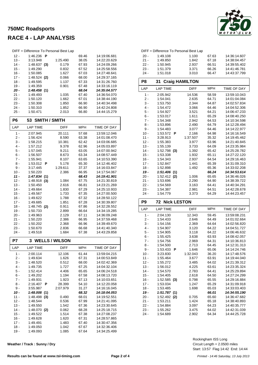# **750MC Roadsports**



## **RACE 4 - LAP ANALYSIS**

| DIFF = Difference To Personal Best Lap |                |     |          |       |              |  |  |
|----------------------------------------|----------------|-----|----------|-------|--------------|--|--|
| $12 -$                                 | 1:46.236       | Р   |          | 69.46 | 14:19:06.681 |  |  |
| $13 -$                                 | 3:13.948       |     | 1:25.490 | 38.05 | 14:22:20.629 |  |  |
| 14 -                                   | 1:48.637       | (3) | 0.179    | 67.93 | 14:24:09.266 |  |  |
| $15 -$                                 | 1:49.290       |     | 0.832    | 67.52 | 14:25:58.556 |  |  |
| $16 -$                                 | 1:50.085       |     | 1.627    | 67.03 | 14:27:48.641 |  |  |
| $17 -$                                 | $1:48.524$ (2) |     | 0.066    | 68.00 | 14:29:37.165 |  |  |
| $18 -$                                 | 1:49.595       |     | 1.137    | 67.33 | 14:31:26.760 |  |  |
| $19 -$                                 | 1:49.359       |     | 0.901    | 67.48 | 14:33:16.119 |  |  |
| - 20                                   | 1:48.458(1)    |     |          | 68.04 | 14:35:04.577 |  |  |
| 21 -                                   | 1:49.493       |     | 1.035    | 67.40 | 14:36:54.070 |  |  |
| $22 -$                                 | 1:50.120       |     | 1.662    | 67.01 | 14:38:44.190 |  |  |
| $23 -$                                 | 1:50.308       |     | 1.850    | 66.90 | 14:40:34.498 |  |  |
| $24 -$                                 | 1:50.310       |     | 1.852    | 66.90 | 14:42:24.808 |  |  |
| $25 -$                                 | 1:50.471       |     | 2.013    | 66.80 | 14:44:15.279 |  |  |

| P6     | 53 SMITH / SMITH |             |            |                    |
|--------|------------------|-------------|------------|--------------------|
| LAP    | <b>LAP TIME</b>  | <b>DIFF</b> | <b>MPH</b> | <b>TIME OF DAY</b> |
| 1 -    | 2:07.945         | 20.111      | 57.68      | 13:59:12.046       |
| $2 -$  | 1:56.424         | 8.590       | 63.38      | 14:01:08.470       |
| 3 -    | 1:58.215         | 10.381      | 62.42      | 14:03:06.685       |
| $4 -$  | 1:57.212         | 9.378       | 62.96      | 14:05:03.897       |
| $5 -$  | 1:57.045         | 9.211       | 63.05      | 14:07:00.942       |
| $6 -$  | 1:56.507         | 8.673       | 63.34      | 14:08:57.449       |
| $7 -$  | 1:55.941         | 8.107       | 63.65      | 14:10:53.390       |
| 8 -    | 1:53.012<br>P    | 5.178       | 65.30      | 14:12:46.402       |
| 9 -    | 3:17.445         | 1:29.611    | 37.37      | 14:16:03.847       |
| $10 -$ | 1:50.220         | 2.386       | 66.95      | 14:17:54.067       |
| $11 -$ | 1:47.834<br>(1)  |             | 68.43      | 14:19:41.901       |
| $12 -$ | 1:48.918<br>(3)  | 1.084       | 67.75      | 14:21:30.819       |
| $13 -$ | 1:50.450         | 2.616       | 66.81      | 14:23:21.269       |
| $14 -$ | 1:49.664         | 1.830       | 67.29      | 14:25:10.933       |
| $15 -$ | 1:49.567         | 1.733       | 67.35      | 14:27:00.500       |
| $16 -$ | 1:49.622         | 1.788       | 67.32      | 14:28:50.122       |
| $17 -$ | 1:49.685         | 1.851       | 67.28      | 14:30:39.807       |
| $18 -$ | 1:48.745<br>(2)  | 0.911       | 67.86      | 14:32:28.552       |
| $19 -$ | 1:50.733         | 2.899       | 66.64      | 14:34:19.285       |
| $20 -$ | 1:49.963         | 2.129       | 67.11      | 14:36:09.248       |
| $21 -$ | 1:50.220         | 2.386       | 66.95      | 14:37:59.468       |
| 22 -   | 1:50.202         | 2.368       | 66.96      | 14:39:49.670       |
| $23 -$ | 1:50.670         | 2.836       | 66.68      | 14:41:40.340       |
| $24 -$ | 1:49.518         | 1.684       | 67.38      | 14:43:29.858       |

| P7     | <b>3 WELLS / WILSON</b> |             |            |              |
|--------|-------------------------|-------------|------------|--------------|
| LAP    | <b>LAP TIME</b>         | <b>DIFF</b> | <b>MPH</b> | TIME OF DAY  |
| 1 -    | 2:00.114                | 12.106      | 61.44      | 13:59:04.215 |
| 2 -    | 1:49.634                | 1.626       | 67.31      | 14:00:53.849 |
| 3 -    | 1:48.520                | 0.512       | 68.00      | 14:02:42.369 |
| 4 -    | 1:49.735                | 1.727       | 67.25      | 14:04:32.104 |
| $5 -$  | 1:52.414                | 4.406       | 65.65      | 14:06:24.518 |
| 6 -    | 1:49.202                | 1.194       | 67.58      | 14:08:13.720 |
| $7 -$  | 1:49.931                | 1.923       | 67.13      | 14:10:03.651 |
| 8 -    | 2:16.407<br>P           | 28.399      | 54.10      | 14:12:20.058 |
| 9 -    | 3:55.987                | 2:07.979    | 31.27      | 14:16:16.045 |
| 10 -   | 1:48.008<br>(1)         |             | 68.32      | 14:18:04.053 |
| $11 -$ | 1:48.498<br>(3)         | 0.490       | 68.01      | 14:19:52.551 |
| $12 -$ | 1:48.544                | 0.536       | 67.99      | 14:21:41.095 |
| $13 -$ | 1:49.550                | 1.542       | 67.36      | 14.23.30.645 |
| $14 -$ | 1:48.070<br>(2)         | 0.062       | 68.28      | 14:25:18.715 |
| $15 -$ | 1:49.522                | 1.514       | 67.38      | 14:27:08.237 |
| $16 -$ | 1:49.628                | 1.620       | 67.31      | 14:28:57.865 |
| $17 -$ | 1:49.491                | 1.483       | 67.40      | 14:30:47.356 |
| $18 -$ | 1:49.050                | 1.042       | 67.67      | 14:32:36.406 |
| $19 -$ | 1:49.093                | 1.085       | 67.64      | 14:34:25.499 |

**Weather / Track : Sunny / Dry**

|        | DIFF = Difference To Personal Best Lap |       |       |              |
|--------|----------------------------------------|-------|-------|--------------|
| 20 -   | 1:49.108                               | 1.100 | 67.63 | 14:36:14.607 |
| $21 -$ | 1:49.850                               | 1.842 | 67.18 | 14:38:04.457 |
| 22 -   | 1:50.945                               | 2.937 | 66.51 | 14:39:55.402 |
| $23 -$ | 1:51.379                               | 3.371 | 66.26 | 14:41:46.781 |
| 24 -   | 1:51.018                               | 3.010 | 66.47 | 14:43:37.799 |

| P8             | <b>Craig HAMILTON</b><br>31 |                |                |                              |  |
|----------------|-----------------------------|----------------|----------------|------------------------------|--|
| LAP            | <b>LAP TIME</b>             | <b>DIFF</b>    | MPH            | <b>TIME OF DAY</b>           |  |
| $1 -$          | 2:05.942                    | 14.536         | 58.59          | 13:59:10.043                 |  |
| 2 -            | 1:54.041                    | 2.635          | 64.71          | 14:01:04.084                 |  |
| 3 -            | 1:53.750                    | 2.344          | 64.87          | 14:02:57.834                 |  |
| $4 -$          | 1:54.472                    | 3.066          | 64.46          | 14:04:52.306                 |  |
| 5 -            | 1:54.927                    | 3.521          | 64.21          | 14:06:47.233                 |  |
| $6 -$          | 1:53.017                    | 1.611          | 65.29          | 14:08:40.250                 |  |
| $7 -$          | 1:54.348                    | 2.942          | 64.53          | 14:10:34.598                 |  |
| 8 -            | 1:53.896                    | 2.490          | 64.79          | 14:12:28.494                 |  |
| $9 -$          | 1:54.483                    | 3.077          | 64.46          | 14:14:22.977                 |  |
| $10 -$         | 1:53.572<br>Ρ               | 2.166          | 64.98          | 14:16:16.549                 |  |
| 11 -           | 3:28.913                    | 1:37.507       | 35.32          | 14:19:45.462                 |  |
| $12 -$         | 1:55.383                    | 3.977          | 63.96          | 14:21:40.845                 |  |
| $13 -$         | 1:55.139                    | 3.733          | 64.09          | 14:23:35.984                 |  |
| $14 -$         | 1:52.798<br>(3)             | 1.392          | 65.42          | 14:25:28.782                 |  |
| $15 -$         | 1:53.338                    | 1.932          | 65.11          | 14:27:22.120                 |  |
| $16 -$         | 1:54.343                    | 2.937          | 64.54          | 14:29:16.463                 |  |
| $17 -$         | 1:52.847                    | 1.441          | 65.39          | 14:31:09.310                 |  |
| 18 -           | 1:52.898                    | 1.492          | 65.36          | 14:33:02.208                 |  |
| 19 -           | 1:51.406(1)                 |                | 66.24          | 14:34:53.614                 |  |
| $20 -$<br>21 - | 1:52.412<br>(2)             | 1.006<br>2.290 | 65.65          | 14:36:46.026                 |  |
| $22 -$         | 1:53.696<br>1:54.569        | 3.163          | 64.90<br>64.41 | 14:38:39.722<br>14:40:34.291 |  |
| 23 -           | 1:54.387                    | 2.981          | 64.51          | 14:42:28.678                 |  |
| 24 -           | 1:54.779                    | 3.373          | 64.29          | 14:44:23.457                 |  |
|                |                             |                |                |                              |  |
| P <sub>9</sub> | <b>Nick LESTON</b><br>72    |                |                |                              |  |
| LAP            | <b>LAP TIME</b>             | DIFF           | MPH            | TIME OF DAY                  |  |
| 1 -            | 2:04.130                    | 12.343         | 59.45          | 13:59:08.231                 |  |
| 2 -            | 1:54.433                    |                |                |                              |  |
|                |                             | 2.646          | 64.49          | 14:01:02.664                 |  |
| 3 -            | 1:54.156                    | 2.369          | 64.64          | 14:02:56.820                 |  |
| $4 -$          | 1:54.907                    | 3.120          | 64.22          | 14:04:51.727                 |  |
| $5 -$          | 1:54.905                    | 3.118          | 64.22          | 14:06:46.632                 |  |
| $6 -$          | 1:55.425                    | 3.638          | 63.93          | 14:08:42.057                 |  |
| $7 -$          | 1:54.756                    | 2.969          | 64.31          | 14:10:36.813                 |  |
| 8 -            | 1:54.500                    | 2.713          | 64.45          | 14:12:31.313                 |  |
| 9 -            | 1:53.433<br>Р               | 1.646          | 65.06          | 14:14:24.746                 |  |
| $10 -$         | 3:23.830                    | 1:32.043       | 36.20          | 14:17:48.576                 |  |
| 11 -           | 1:55.464                    | 3.677          | 63.91          | 14:19:44.040                 |  |
| $12 -$         | 1:55.272                    | 3.485          | 64.02          | 14:21:39.312                 |  |
| $13 -$         | 1:56.012                    | 4.225          | 63.61          | 14:23:35.324                 |  |
| 14 -           | 1:54.570                    | 2.783          | 64.41          | 14:25:29.894                 |  |
| 15 -           | 1:54.405                    | 2.618          | 64.50          | 14:27:24.299                 |  |
| $16 -$         | $1:52.585$ (3)              | 0.798<br>1.247 | 65.55          | 14:29:16.884                 |  |
| $17 -$<br>18 - | 1:53.034<br>1:53.485        | 1.698          | 65.29          | 14:31:09.918<br>14:33:03.403 |  |
| $19 -$         |                             |                | 65.03<br>66.01 | 14:34:55.190                 |  |
| $20 -$         | 1:51.787(1)<br>1:52.492 (2) | 0.705          | 65.60          | 14:36:47.682                 |  |
| 21 -           | 1:53.211                    | 1.424          | 65.18          | 14:38:40.893                 |  |
| 22 -           | 1:54.884                    | 3.097          | 64.23          | 14:40:35.777                 |  |
| 23 -           | 1:55.262                    | 3.475          | 64.02          | 14:42:31.039<br>14:44:25.728 |  |

Start: 13:57 Flag 14:42 End: 14:44 Circuit Length = 2.0500 miles Rockingham ISS Long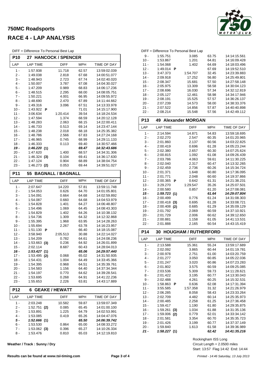### **750MC Roadsports RACE 4 - LAP ANALYSIS**

DIFF = Difference To Personal Best Lap

| י וו ש<br>- Diliciclice TV Felsulial Dest Lap<br><b>P10</b><br>27<br><b>HANCOCK / SPENCER</b> |                           |                          |                |                              |  |
|-----------------------------------------------------------------------------------------------|---------------------------|--------------------------|----------------|------------------------------|--|
| LAP                                                                                           | <b>LAP TIME</b>           | <b>DIFF</b>              | <b>MPH</b>     | TIME OF DAY                  |  |
| 1 -                                                                                           | 1:57.938                  | 11.718                   | 62.57          | 13:59:02.039                 |  |
| 2 -                                                                                           | 1:49.038                  | 2.818                    | 67.68          | 14:00:51.077                 |  |
| 3 -                                                                                           | 1:48.943                  | 2.723                    | 67.74          | 14:02:40.020                 |  |
| 4 -                                                                                           | 1:50.007                  | 3.787                    | 67.08          | 14:04:30.027                 |  |
| 5 -                                                                                           | 1:47.209                  | 0.989                    | 68.83          | 14:06:17.236                 |  |
| 6 -                                                                                           | 1:48.515                  | 2.295                    | 68.00          | 14:08:05.751                 |  |
| 7 -                                                                                           | 1:50.221                  | 4.001                    | 66.95          | 14:09:55.972                 |  |
| 8 -                                                                                           | 1:48.690                  | 2.470                    | 67.89          | 14:11:44.662                 |  |
| 9 -                                                                                           | 1:49.316                  | 3.096                    | 67.51          | 14:13:33.978                 |  |
| $10 -$<br>$11 -$                                                                              | 1:43.922<br>Ρ<br>3:06.634 | 1:20.414                 | 71.01<br>39.54 | 14:15:17.900<br>14:18:24.534 |  |
| $12 -$                                                                                        | 1:47.594                  | 1.374                    | 68.59          | 14:20:12.128                 |  |
| $13 -$                                                                                        | 1:48.283                  | 2.063                    | 68.15          | 14:22:00.411                 |  |
| $14 -$                                                                                        | 1:46.733                  | 0.513                    | 69.14          | 14:23:47.144                 |  |
| $15 -$                                                                                        | 1:48.238                  | 2.018                    | 68.18          | 14:25:35.382                 |  |
| $16 -$                                                                                        | 1:48.786                  | 2.566                    | 67.83          | 14:27:24.168                 |  |
| $17 -$                                                                                        | 1:46.965                  | 0.745                    | 68.99          | 14:29:11.133                 |  |
| 18 -                                                                                          | 1:46.333                  | 0.113                    | 69.40          | 14:30:57.466                 |  |
| 19 -                                                                                          | 1:46.220(1)<br>1:47.620   | 1.400                    | 69.47<br>68.57 | 14:32:43.686                 |  |
| $20 -$<br>$21 -$                                                                              | 1:46.324<br>(3)           | 0.104                    | 69.41          | 14:34:31.306<br>14:36:17.630 |  |
| 22 -                                                                                          | 1:47.124                  | 0.904                    | 68.89          | 14:38:04.754                 |  |
| 23 -                                                                                          | 1:46.273 (2)              | 0.053                    | 69.44          | 14:39:51.027                 |  |
| P11                                                                                           | 55                        | <b>BAGNALL / BAGNALL</b> |                |                              |  |
| LAP                                                                                           | <b>LAP TIME</b>           | <b>DIFF</b>              | <b>MPH</b>     | TIME OF DAY                  |  |
| 1 -                                                                                           | 2:07.647                  | 14.220                   | 57.81          | 13:59:11.748                 |  |
| 2 -                                                                                           | 1:54.053                  | 0.626                    | 64.70          | 14:01:05.801                 |  |
| 3 -                                                                                           | 1:54.091                  | 0.664                    | 64.68          | 14:02:59.892                 |  |
| $4 -$                                                                                         | 1:54.087                  | 0.660                    | 64.68          | 14:04:53.979                 |  |
| 5 -                                                                                           | 1:54.828                  | 1.401                    | 64.27          | 14:06:48.807                 |  |
| 6 -                                                                                           | 1:54.496                  | 1.069                    | 64.45          | 14:08:43.303                 |  |
| $7 -$                                                                                         | 1:54.829                  | 1.402                    | 64.26          | 14:10:38.132                 |  |
| 8 -                                                                                           | 1:54.736                  | 1.309                    | 64.32          | 14:12:32.868                 |  |
| 9 -<br>$10 -$                                                                                 | 1:55.395<br>1:55.694      | 1.968<br>2.267           | 63.95<br>63.78 | 14:14:28.263<br>14:16:23.957 |  |
| $11 -$                                                                                        | 1:51.130<br>Р             |                          | 66.40          | 14:18:15.087                 |  |
| $12 -$                                                                                        | 3.58.940                  | 2:05.513                 | 30.88          | 14:22:14.027                 |  |
| $13 -$                                                                                        | 1:54.209                  | 0.782                    | 64.61          | 14:24:08.236                 |  |
| $14 -$                                                                                        | 1:53.663<br>(3)           | 0.236                    | 64.92          | 14:26:01.899                 |  |
| 15 -                                                                                          | 2:02.114                  | 8.687                    | 60.43          | 14:28:04.013                 |  |
| 16 -                                                                                          | 1:53.427(1)               |                          | 65.06          | 14:29:57.440                 |  |
| $17 -$                                                                                        | $1:53.495$ (2)            | 0.068                    | 65.02          | 14:31:50.935                 |  |
| 18 -<br>$19 -$                                                                                | 1:54.431<br>1:54.395      | 1.004<br>0.968           | 64.49<br>64.51 | 14:33:45.366<br>14:35:39.761 |  |
| 20 -                                                                                          | 1:54.583                  | 1.156                    | 64.40          | 14:37:34.344                 |  |
| 21 -                                                                                          | 1:54.197                  | 0.770                    | 64.62          | 14:39:28.541                 |  |
| $22 -$                                                                                        | 1:53.695                  | 0.268                    | 64.91          | 14:41:22.236                 |  |
| $23 -$                                                                                        | 1:55.653                  | 2.226                    | 63.81          | 14:43:17.889                 |  |
| P12                                                                                           | 6                         | <b>GEAKE / HEWATT</b>    |                |                              |  |
| LAP                                                                                           | <b>LAP TIME</b>           | DIFF                     | <b>MPH</b>     | TIME OF DAY                  |  |
| $1 -$                                                                                         | 2:03.248                  | 10.582                   | 59.87          | 13:59:07.349                 |  |
| 2 -                                                                                           | 1:52.751<br>(2)           | 0.085                    | 65.45          | 14:01:00.100                 |  |
| 3 -                                                                                           | 1:53.891                  | 1.225                    | 64.79          | 14:02:53.991                 |  |
| 4 -<br>5 -                                                                                    | 1:53.085<br>1:52.666(1)   | 0.419                    | 65.26          | 14:04:47.076                 |  |
|                                                                                               |                           |                          | 65.50          | 14:06:39.742                 |  |
| $6 -$                                                                                         | 1:53.530                  | 0.864                    | 65.00          | 14:08:33.272                 |  |

**Weather / Track : Sunny / Dry**



| 9 -             | 1:55.751             |            | 3.085                       | 63.75          | 14:14:15.561                 |
|-----------------|----------------------|------------|-----------------------------|----------------|------------------------------|
| $10 -$          | 1:53.867             |            | 1.201                       | 64.81          | 14:16:09.428                 |
| 11 -            | 1:54.068             |            | 1.402                       | 64.69          | 14:18:03.496                 |
| $12 -$          | 1:49.014             | Р          |                             | 67.69          | 14:19:52.510                 |
| $13 -$          | 3:47.373             |            | 1:54.707                    | 32.45          | 14:23:39.883                 |
| $14 -$          | 2:09.918             |            | 17.252                      | 56.80          | 14:25:49.801                 |
| $15 -$          | 2:08.347             |            | 15.681                      | 57.50          | 14:27:58.148                 |
| $16 -$          | 2:05.975             |            | 13.309                      | 58.58          | 14:30:04.123                 |
| $17 -$          | 2:08.696             |            | 16.030                      | 57.34          | 14:32:12.819                 |
| $18 -$          | 2:05.127             |            | 12.461                      | 58.98          | 14:34:17.946                 |
| $19 -$          | 2:08.191             |            | 15.525                      | 57.57          | 14:36:26.137                 |
| $20 -$          | 2:07.239             |            | 14.573                      | 58.00          | 14:38:33.376                 |
| $21 -$          | 2:07.522             |            | 14.856                      | 57.87          | 14:40:40.898                 |
| $22 -$          | 2:08.214             |            | 15.548                      | 57.56          | 14:42:49.112                 |
| P <sub>13</sub> | 49                   |            | <b>Alexander MORGAN</b>     |                |                              |
| LAP             | <b>LAP TIME</b>      |            | <b>DIFF</b>                 | <b>MPH</b>     | TIME OF DAY                  |
| $1 -$           | 2:14.594             |            | 14.871                      | 54.83          | 13:59:18.695                 |
| 2 -             | 2:02.270             |            | 2.547                       | 60.35          | 14:01:20.965                 |
| 3 -             | 2:01.860             |            | 2.137                       | 60.56          | 14:03:22.825                 |
| 4 -             | 2:00.419             |            | 0.696                       | 61.28          | 14:05:23.244                 |
| 5 -             | 2:02.380             |            | 2.657                       | 60.30          | 14:07:25.624                 |
| 6 -             | 2:00.815             |            | 1.092                       | 61.08          | 14:09:26.439                 |
| 7 -             | 2:03.786             |            | 4.063                       | 59.61          | 14:11:30.225                 |
| 8 -             | 2:02.040             |            | 2.317                       | 60.47          | 14:13:32.265                 |
| 9 -             | 2:02.459             |            | 2.736                       | 60.26          | 14:15:34.724                 |
| $10 -$          | 2:01.371             |            | 1.648                       | 60.80          | 14:17:36.095                 |
| $11 -$          | 2:01.771             |            | 2.048                       | 60.60          | 14:19:37.866                 |
| $12 -$          | 2:00.365             | Ρ          | 0.642                       | 61.31          | 14:21:38.231                 |
|                 |                      |            |                             |                |                              |
| $13 -$          | 3:29.270             |            | 1:29.547                    | 35.26          | 14:25:07.501                 |
| $14 -$          | 2:00.580             |            | 0.857                       | 61.20          | 14:27:08.081                 |
| 15 -            | 1:59.723(1)          |            |                             | 61.64          | 14:29:07.804                 |
| $16 -$          | 2:00.499             |            | 0.776                       | 61.24          | 14:31:08.303                 |
| $17 -$          | 2:00.418             | (3)        | 0.695                       | 61.28          | 14:33:08.721                 |
| $18 -$          | 2:00.408             | (2)        | 0.685                       | 61.29          | 14:35:09.129                 |
| $19 -$          | 2:01.792             |            | 2.069                       | 60.59          | 14:37:10.921                 |
| $20 -$          | 2:01.729             |            | 2.006                       | 60.62          | 14:39:12.650                 |
| 21 -            | 2:00.881             |            | 1.158                       | 61.05          | 14:41:13.531                 |
| $22 -$          | 2:01.888             |            | 2.165                       | 60.54          | 14:43:15.419                 |
| <b>P14</b>      | 30                   |            | <b>HOUGHAM / RUTHERFORD</b> |                |                              |
| LAP             | <b>LAP TIME</b>      |            | <b>DIFF</b>                 | <b>MPH</b>     | TIME OF DAY                  |
| $1 -$           | 2:13.588             |            | 15.361                      | 55.24          | 13:59:17.689                 |
| $2 -$           | 2:02.092             |            | 3.865                       | 60.44          | 14:01:19.781                 |
| 3 -             | 2:00.978             |            | 2.751                       | 61.00          | 14:03:20.759                 |
| $4 -$           | 2:01.277             |            | 3.050                       | 60.85          | 14:05:22.036                 |
| 5 -             | 2:01.247             |            | 3.020                       | 60.86          | 14:07:23.283                 |
| 6 -             | 2:01.802             |            | 3.575                       | 60.59          | 14:09:25.085                 |
| $7 -$           | 2:03.536             |            | 5.309                       | 59.73          | 14:11:28.621                 |
| 8 -             | 2:01.422             |            | 3.195                       | 60.77          | 14:13:30.043                 |
| 9 -             | 2:02.488             |            | 4.261                       | 60.25          | 14:15:32.531                 |
| 10 -            | 1:58.863             | Ρ          | 0.636                       | 62.08          | 14:17:31.394                 |
| $11 -$          | 3:55.585             |            | 1:57.358                    | 31.32          | 14:21:26.979                 |
| $12 -$          | 2:06.285             |            | 8.058                       | 58.43          | 14:23:33.264                 |
| $13 -$          | 2:02.709             |            | 4.482                       | 60.14          | 14:25:35.973                 |
| $14 -$          | 2:00.485             |            | 2.258                       | 61.25          | 14:27:36.458                 |
| 15 -            | 1:59.417             |            | 1.190                       | 61.80          | 14:29:35.875                 |
| 16 -<br>$17 -$  | 1:59.261<br>1:59.006 | (3)<br>(2) | 1.034<br>0.779              | 61.88<br>62.01 | 14:31:35.136<br>14:33:34.142 |

DIFF = Difference To Personal Best Lap

Start: 13:57 Flag 14:42 End: 14:44 Circuit Length = 2.0500 miles Rockingham ISS Long

17 - 1:59.006 (2) 0.779 62.01 14:33:34.142 18 - 2:01.581 3.354 60.70 14:35:35.723 19 - 2:01.426 3.199 60.77 14:37:37.149 20 - 1:59.840 1.613 61.58 14:39:36.989<br>21 - 1:58.227 (1) 62.42 14:41:35.216

*<i>21*  $\frac{1:58.227}{1:}$ 

8 - 1:53.476 0.810 65.03 14:12:19.810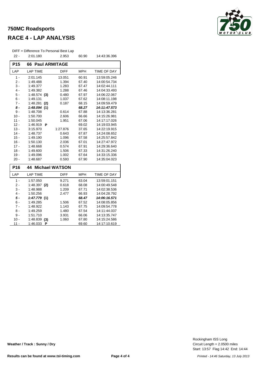### **750MC Roadsports**



### **RACE 4 - LAP ANALYSIS**

| DIFF = Difference To Personal Best Lap |                            |                       |            |                    |  |  |
|----------------------------------------|----------------------------|-----------------------|------------|--------------------|--|--|
| $22 -$                                 | 2:01.180                   | 2.953                 | 60.90      | 14:43:36.396       |  |  |
| P <sub>15</sub>                        | 66<br><b>Paul ARMITAGE</b> |                       |            |                    |  |  |
| LAP                                    | <b>LAP TIME</b>            | <b>DIFF</b>           | <b>MPH</b> | <b>TIME OF DAY</b> |  |  |
| $1 -$                                  | 2:01.145                   | 13.051                | 60.91      | 13:59:05.246       |  |  |
| $2 -$                                  | 1:49.488                   | 1.394                 | 67.40      | 14:00:54.734       |  |  |
| $3 -$                                  | 1:49.377                   | 1.283                 | 67.47      | 14:02:44.111       |  |  |
| 4 -                                    | 1:49.382                   | 1.288                 | 67.46      | 14:04:33.493       |  |  |
| $5 -$                                  | 1:48.574<br>(3)            | 0.480                 | 67.97      | 14:06:22.067       |  |  |
| $6 -$                                  | 1:49.131                   | 1.037                 | 67.62      | 14:08:11.198       |  |  |
| $7 -$                                  | 1:48.281<br>(2)            | 0.187                 | 68.15      | 14:09:59.479       |  |  |
| $8-$                                   | 1:48.094<br>(1)            |                       | 68.27      | 14:11:47.573       |  |  |
| $9 -$                                  | 1:48.708                   | 0.614                 | 67.88      | 14:13:36.281       |  |  |
| $10 -$                                 | 1:50.700                   | 2.606                 | 66.66      | 14:15:26.981       |  |  |
| $11 -$                                 | 1:50.045                   | 1.951                 | 67.06      | 14:17:17.026       |  |  |
| $12 -$                                 | 1:46.919<br>Р              |                       | 69.02      | 14:19:03.945       |  |  |
| $13 -$                                 | 3:15.970                   | 1:27.876              | 37.65      | 14:22:19.915       |  |  |
| $14 -$                                 | 1:48.737                   | 0.643                 | 67.87      | 14:24:08.652       |  |  |
| $15 -$                                 | 1:49.190                   | 1.096                 | 67.58      | 14:25:57.842       |  |  |
| $16 -$                                 | 1:50.130                   | 2.036                 | 67.01      | 14:27:47.972       |  |  |
| $17 -$                                 | 1:48.668                   | 0.574                 | 67.91      | 14:29:36.640       |  |  |
| $18 -$                                 | 1:49.600                   | 1.506                 | 67.33      | 14:31:26.240       |  |  |
| $19 -$                                 | 1:49.096                   | 1.002                 | 67.64      | 14:33:15.336       |  |  |
| $20 -$                                 | 1:48.687                   | 0.593                 | 67.90      | 14:35:04.023       |  |  |
| P <sub>16</sub>                        | 44                         | <b>Michael WATSON</b> |            |                    |  |  |
| LAP                                    | <b>LAP TIME</b>            | <b>DIFF</b>           | <b>MPH</b> | <b>TIME OF DAY</b> |  |  |
| $1 -$                                  | 1:57.050                   | 9.271                 | 63.04      | 13:59:01.151       |  |  |
| $2 -$                                  | $1:48.397$ (2)             | 0.618                 | 68.08      | 14:00:49.548       |  |  |
| $3 -$                                  | 1:48.988                   | 1.209                 | 67.71      | 14:02:38.536       |  |  |
| 4 -                                    | 1:50.256                   | 2.477                 | 66.93      | 14:04:28.792       |  |  |
| $5 -$                                  | 1:47.779<br>(1)            |                       | 68.47      | 14:06:16.571       |  |  |
| $6 -$                                  | 1:49.285                   | 1.506                 | 67.52      | 14:08:05.856       |  |  |
| $7 -$                                  | 1:48.922                   | 1.143                 | 67.75      | 14:09:54.778       |  |  |
| $8 -$                                  | 1:49.259                   | 1.480                 | 67.54      | 14:11:44.037       |  |  |
| 9 -                                    | 1:51.710                   | 3.931                 | 66.06      | 14:13:35.747       |  |  |
| $10 -$                                 | 1:48.839<br>(3)            | 1.060                 | 67.80      | 14:15:24.586       |  |  |
| 11 -                                   | 1:46.033<br>Ρ              |                       | 69.60      | 14:17:10.619       |  |  |

**Weather / Track : Sunny / Dry**

Start: 13:57 Flag 14:42 End: 14:44 Circuit Length = 2.0500 miles Rockingham ISS Long